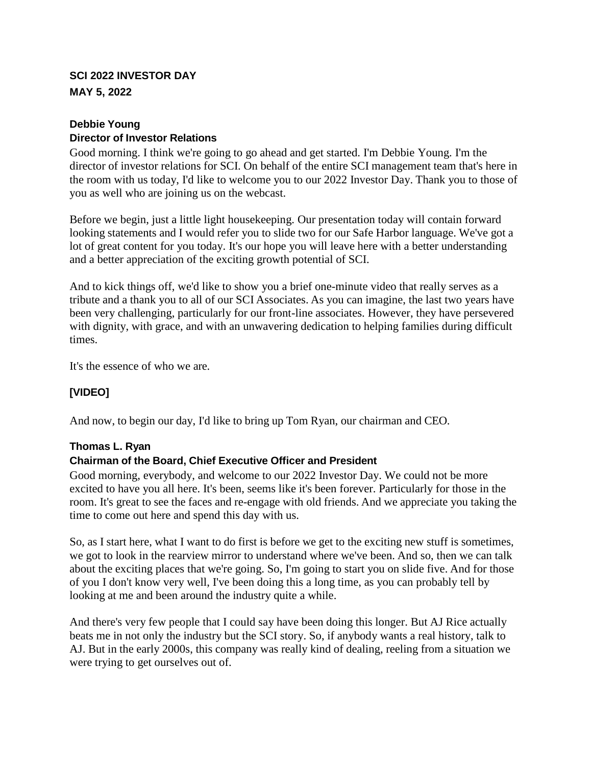## **SCI 2022 INVESTOR DAY MAY 5, 2022**

# **Debbie Young Director of Investor Relations**

Good morning. I think we're going to go ahead and get started. I'm Debbie Young. I'm the director of investor relations for SCI. On behalf of the entire SCI management team that's here in the room with us today, I'd like to welcome you to our 2022 Investor Day. Thank you to those of you as well who are joining us on the webcast.

Before we begin, just a little light housekeeping. Our presentation today will contain forward looking statements and I would refer you to slide two for our Safe Harbor language. We've got a lot of great content for you today. It's our hope you will leave here with a better understanding and a better appreciation of the exciting growth potential of SCI.

And to kick things off, we'd like to show you a brief one-minute video that really serves as a tribute and a thank you to all of our SCI Associates. As you can imagine, the last two years have been very challenging, particularly for our front-line associates. However, they have persevered with dignity, with grace, and with an unwavering dedication to helping families during difficult times.

It's the essence of who we are.

# **[VIDEO]**

And now, to begin our day, I'd like to bring up Tom Ryan, our chairman and CEO.

## **Thomas L. Ryan**

## **Chairman of the Board, Chief Executive Officer and President**

Good morning, everybody, and welcome to our 2022 Investor Day. We could not be more excited to have you all here. It's been, seems like it's been forever. Particularly for those in the room. It's great to see the faces and re-engage with old friends. And we appreciate you taking the time to come out here and spend this day with us.

So, as I start here, what I want to do first is before we get to the exciting new stuff is sometimes, we got to look in the rearview mirror to understand where we've been. And so, then we can talk about the exciting places that we're going. So, I'm going to start you on slide five. And for those of you I don't know very well, I've been doing this a long time, as you can probably tell by looking at me and been around the industry quite a while.

And there's very few people that I could say have been doing this longer. But AJ Rice actually beats me in not only the industry but the SCI story. So, if anybody wants a real history, talk to AJ. But in the early 2000s, this company was really kind of dealing, reeling from a situation we were trying to get ourselves out of.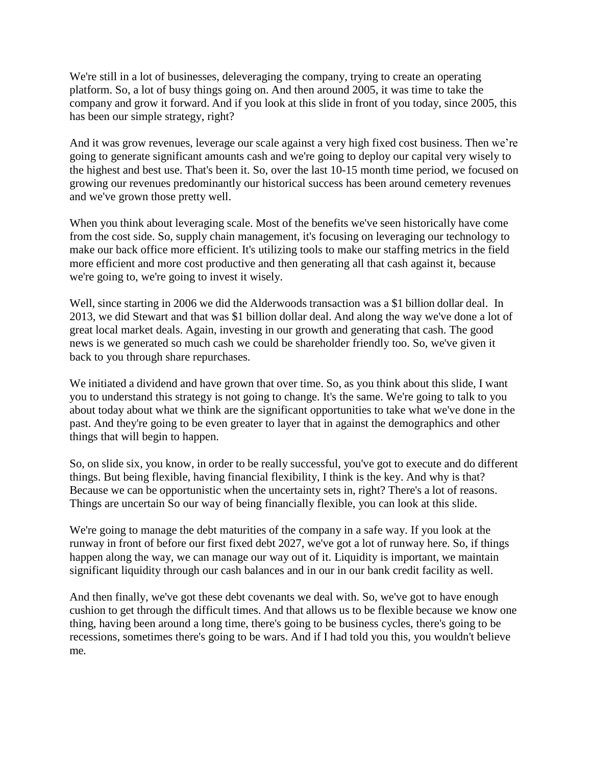We're still in a lot of businesses, deleveraging the company, trying to create an operating platform. So, a lot of busy things going on. And then around 2005, it was time to take the company and grow it forward. And if you look at this slide in front of you today, since 2005, this has been our simple strategy, right?

And it was grow revenues, leverage our scale against a very high fixed cost business. Then we're going to generate significant amounts cash and we're going to deploy our capital very wisely to the highest and best use. That's been it. So, over the last 10-15 month time period, we focused on growing our revenues predominantly our historical success has been around cemetery revenues and we've grown those pretty well.

When you think about leveraging scale. Most of the benefits we've seen historically have come from the cost side. So, supply chain management, it's focusing on leveraging our technology to make our back office more efficient. It's utilizing tools to make our staffing metrics in the field more efficient and more cost productive and then generating all that cash against it, because we're going to, we're going to invest it wisely.

Well, since starting in 2006 we did the Alderwoods transaction was a \$1 billion dollar deal. In 2013, we did Stewart and that was \$1 billion dollar deal. And along the way we've done a lot of great local market deals. Again, investing in our growth and generating that cash. The good news is we generated so much cash we could be shareholder friendly too. So, we've given it back to you through share repurchases.

We initiated a dividend and have grown that over time. So, as you think about this slide, I want you to understand this strategy is not going to change. It's the same. We're going to talk to you about today about what we think are the significant opportunities to take what we've done in the past. And they're going to be even greater to layer that in against the demographics and other things that will begin to happen.

So, on slide six, you know, in order to be really successful, you've got to execute and do different things. But being flexible, having financial flexibility, I think is the key. And why is that? Because we can be opportunistic when the uncertainty sets in, right? There's a lot of reasons. Things are uncertain So our way of being financially flexible, you can look at this slide.

We're going to manage the debt maturities of the company in a safe way. If you look at the runway in front of before our first fixed debt 2027, we've got a lot of runway here. So, if things happen along the way, we can manage our way out of it. Liquidity is important, we maintain significant liquidity through our cash balances and in our in our bank credit facility as well.

And then finally, we've got these debt covenants we deal with. So, we've got to have enough cushion to get through the difficult times. And that allows us to be flexible because we know one thing, having been around a long time, there's going to be business cycles, there's going to be recessions, sometimes there's going to be wars. And if I had told you this, you wouldn't believe me.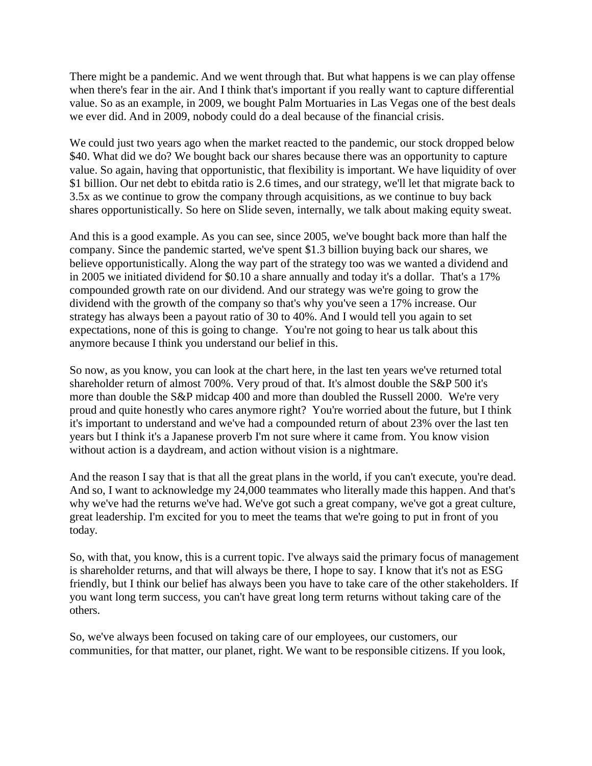There might be a pandemic. And we went through that. But what happens is we can play offense when there's fear in the air. And I think that's important if you really want to capture differential value. So as an example, in 2009, we bought Palm Mortuaries in Las Vegas one of the best deals we ever did. And in 2009, nobody could do a deal because of the financial crisis.

We could just two years ago when the market reacted to the pandemic, our stock dropped below \$40. What did we do? We bought back our shares because there was an opportunity to capture value. So again, having that opportunistic, that flexibility is important. We have liquidity of over \$1 billion. Our net debt to ebitda ratio is 2.6 times, and our strategy, we'll let that migrate back to 3.5x as we continue to grow the company through acquisitions, as we continue to buy back shares opportunistically. So here on Slide seven, internally, we talk about making equity sweat.

And this is a good example. As you can see, since 2005, we've bought back more than half the company. Since the pandemic started, we've spent \$1.3 billion buying back our shares, we believe opportunistically. Along the way part of the strategy too was we wanted a dividend and in 2005 we initiated dividend for \$0.10 a share annually and today it's a dollar. That's a 17% compounded growth rate on our dividend. And our strategy was we're going to grow the dividend with the growth of the company so that's why you've seen a 17% increase. Our strategy has always been a payout ratio of 30 to 40%. And I would tell you again to set expectations, none of this is going to change. You're not going to hear us talk about this anymore because I think you understand our belief in this.

So now, as you know, you can look at the chart here, in the last ten years we've returned total shareholder return of almost 700%. Very proud of that. It's almost double the S&P 500 it's more than double the S&P midcap 400 and more than doubled the Russell 2000. We're very proud and quite honestly who cares anymore right? You're worried about the future, but I think it's important to understand and we've had a compounded return of about 23% over the last ten years but I think it's a Japanese proverb I'm not sure where it came from. You know vision without action is a daydream, and action without vision is a nightmare.

And the reason I say that is that all the great plans in the world, if you can't execute, you're dead. And so, I want to acknowledge my 24,000 teammates who literally made this happen. And that's why we've had the returns we've had. We've got such a great company, we've got a great culture, great leadership. I'm excited for you to meet the teams that we're going to put in front of you today.

So, with that, you know, this is a current topic. I've always said the primary focus of management is shareholder returns, and that will always be there, I hope to say. I know that it's not as ESG friendly, but I think our belief has always been you have to take care of the other stakeholders. If you want long term success, you can't have great long term returns without taking care of the others.

So, we've always been focused on taking care of our employees, our customers, our communities, for that matter, our planet, right. We want to be responsible citizens. If you look,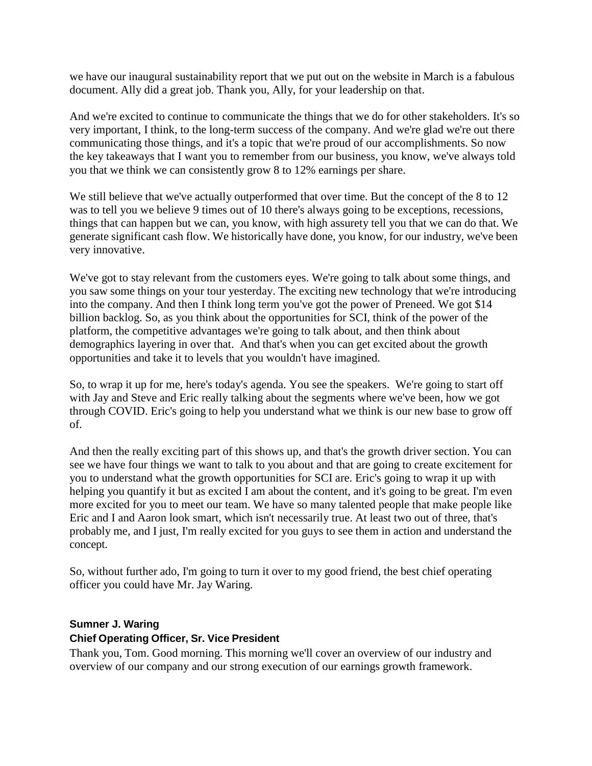we have our inaugural sustainability report that we put out on the website in March is a fabulous document. Ally did a great job. Thank you, Ally, for your leadership on that.

And we're excited to continue to communicate the things that we do for other stakeholders. It's so very important, I think, to the long-term success of the company. And we're glad we're out there communicating those things, and it's a topic that we're proud of our accomplishments. So now the key takeaways that I want you to remember from our business, you know, we've always told you that we think we can consistently grow 8 to 12% earnings per share.

We still believe that we've actually outperformed that over time. But the concept of the 8 to 12 was to tell you we believe 9 times out of 10 there's always going to be exceptions, recessions, things that can happen but we can, you know, with high assurety tell you that we can do that. We generate significant cash flow. We historically have done, you know, for our industry, we've been very innovative.

We've got to stay relevant from the customers eyes. We're going to talk about some things, and you saw some things on your tour yesterday. The exciting new technology that we're introducing into the company. And then I think long term you've got the power of Preneed. We got \$14 billion backlog. So, as you think about the opportunities for SCI, think of the power of the platform, the competitive advantages we're going to talk about, and then think about demographics layering in over that. And that's when you can get excited about the growth opportunities and take it to levels that you wouldn't have imagined.

So, to wrap it up for me, here's today's agenda. You see the speakers. We're going to start off with Jay and Steve and Eric really talking about the segments where we've been, how we got through COVID. Eric's going to help you understand what we think is our new base to grow off of.

And then the really exciting part of this shows up, and that's the growth driver section. You can see we have four things we want to talk to you about and that are going to create excitement for you to understand what the growth opportunities for SCI are. Eric's going to wrap it up with helping you quantify it but as excited I am about the content, and it's going to be great. I'm even more excited for you to meet our team. We have so many talented people that make people like Eric and I and Aaron look smart, which isn't necessarily true. At least two out of three, that's probably me, and I just, I'm really excited for you guys to see them in action and understand the concept.

So, without further ado, I'm going to turn it over to my good friend, the best chief operating officer you could have Mr. Jay Waring.

#### **Sumner J. Waring**

#### **Chief Operating Officer, Sr. Vice President**

Thank you, Tom. Good morning. This morning we'll cover an overview of our industry and overview of our company and our strong execution of our earnings growth framework.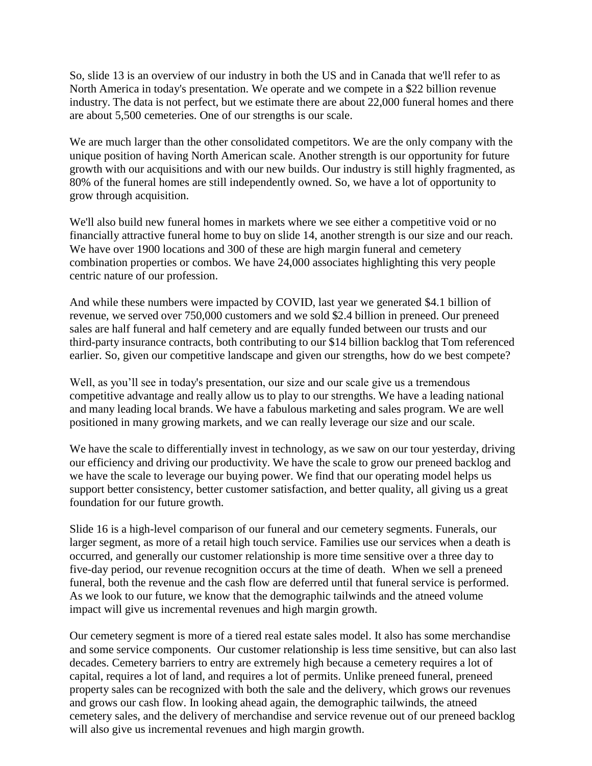So, slide 13 is an overview of our industry in both the US and in Canada that we'll refer to as North America in today's presentation. We operate and we compete in a \$22 billion revenue industry. The data is not perfect, but we estimate there are about 22,000 funeral homes and there are about 5,500 cemeteries. One of our strengths is our scale.

We are much larger than the other consolidated competitors. We are the only company with the unique position of having North American scale. Another strength is our opportunity for future growth with our acquisitions and with our new builds. Our industry is still highly fragmented, as 80% of the funeral homes are still independently owned. So, we have a lot of opportunity to grow through acquisition.

We'll also build new funeral homes in markets where we see either a competitive void or no financially attractive funeral home to buy on slide 14, another strength is our size and our reach. We have over 1900 locations and 300 of these are high margin funeral and cemetery combination properties or combos. We have 24,000 associates highlighting this very people centric nature of our profession.

And while these numbers were impacted by COVID, last year we generated \$4.1 billion of revenue, we served over 750,000 customers and we sold \$2.4 billion in preneed. Our preneed sales are half funeral and half cemetery and are equally funded between our trusts and our third-party insurance contracts, both contributing to our \$14 billion backlog that Tom referenced earlier. So, given our competitive landscape and given our strengths, how do we best compete?

Well, as you'll see in today's presentation, our size and our scale give us a tremendous competitive advantage and really allow us to play to our strengths. We have a leading national and many leading local brands. We have a fabulous marketing and sales program. We are well positioned in many growing markets, and we can really leverage our size and our scale.

We have the scale to differentially invest in technology, as we saw on our tour yesterday, driving our efficiency and driving our productivity. We have the scale to grow our preneed backlog and we have the scale to leverage our buying power. We find that our operating model helps us support better consistency, better customer satisfaction, and better quality, all giving us a great foundation for our future growth.

Slide 16 is a high-level comparison of our funeral and our cemetery segments. Funerals, our larger segment, as more of a retail high touch service. Families use our services when a death is occurred, and generally our customer relationship is more time sensitive over a three day to five-day period, our revenue recognition occurs at the time of death. When we sell a preneed funeral, both the revenue and the cash flow are deferred until that funeral service is performed. As we look to our future, we know that the demographic tailwinds and the atneed volume impact will give us incremental revenues and high margin growth.

Our cemetery segment is more of a tiered real estate sales model. It also has some merchandise and some service components. Our customer relationship is less time sensitive, but can also last decades. Cemetery barriers to entry are extremely high because a cemetery requires a lot of capital, requires a lot of land, and requires a lot of permits. Unlike preneed funeral, preneed property sales can be recognized with both the sale and the delivery, which grows our revenues and grows our cash flow. In looking ahead again, the demographic tailwinds, the atneed cemetery sales, and the delivery of merchandise and service revenue out of our preneed backlog will also give us incremental revenues and high margin growth.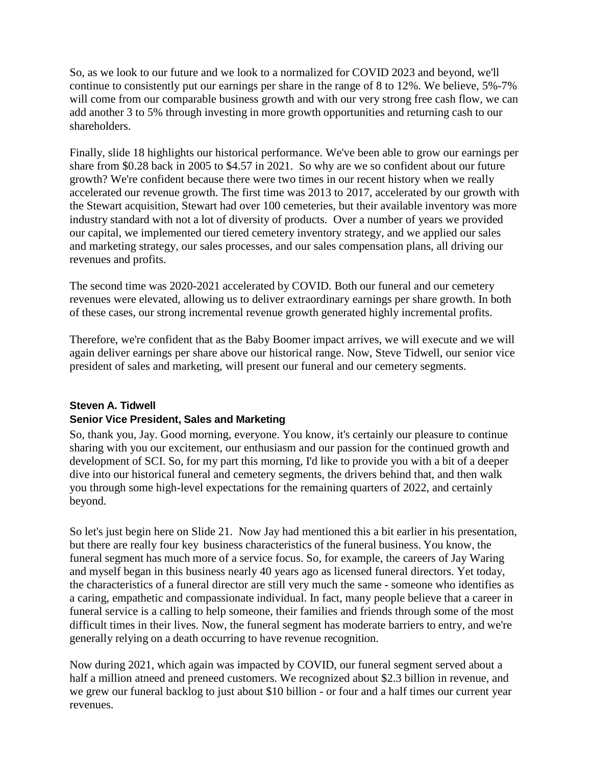So, as we look to our future and we look to a normalized for COVID 2023 and beyond, we'll continue to consistently put our earnings per share in the range of 8 to 12%. We believe, 5%-7% will come from our comparable business growth and with our very strong free cash flow, we can add another 3 to 5% through investing in more growth opportunities and returning cash to our shareholders.

Finally, slide 18 highlights our historical performance. We've been able to grow our earnings per share from \$0.28 back in 2005 to \$4.57 in 2021. So why are we so confident about our future growth? We're confident because there were two times in our recent history when we really accelerated our revenue growth. The first time was 2013 to 2017, accelerated by our growth with the Stewart acquisition, Stewart had over 100 cemeteries, but their available inventory was more industry standard with not a lot of diversity of products. Over a number of years we provided our capital, we implemented our tiered cemetery inventory strategy, and we applied our sales and marketing strategy, our sales processes, and our sales compensation plans, all driving our revenues and profits.

The second time was 2020-2021 accelerated by COVID. Both our funeral and our cemetery revenues were elevated, allowing us to deliver extraordinary earnings per share growth. In both of these cases, our strong incremental revenue growth generated highly incremental profits.

Therefore, we're confident that as the Baby Boomer impact arrives, we will execute and we will again deliver earnings per share above our historical range. Now, Steve Tidwell, our senior vice president of sales and marketing, will present our funeral and our cemetery segments.

#### **Steven A. Tidwell**

#### **Senior Vice President, Sales and Marketing**

So, thank you, Jay. Good morning, everyone. You know, it's certainly our pleasure to continue sharing with you our excitement, our enthusiasm and our passion for the continued growth and development of SCI. So, for my part this morning, I'd like to provide you with a bit of a deeper dive into our historical funeral and cemetery segments, the drivers behind that, and then walk you through some high-level expectations for the remaining quarters of 2022, and certainly beyond.

So let's just begin here on Slide 21. Now Jay had mentioned this a bit earlier in his presentation, but there are really four key business characteristics of the funeral business. You know, the funeral segment has much more of a service focus. So, for example, the careers of Jay Waring and myself began in this business nearly 40 years ago as licensed funeral directors. Yet today, the characteristics of a funeral director are still very much the same - someone who identifies as a caring, empathetic and compassionate individual. In fact, many people believe that a career in funeral service is a calling to help someone, their families and friends through some of the most difficult times in their lives. Now, the funeral segment has moderate barriers to entry, and we're generally relying on a death occurring to have revenue recognition.

Now during 2021, which again was impacted by COVID, our funeral segment served about a half a million atneed and preneed customers. We recognized about \$2.3 billion in revenue, and we grew our funeral backlog to just about \$10 billion - or four and a half times our current year revenues.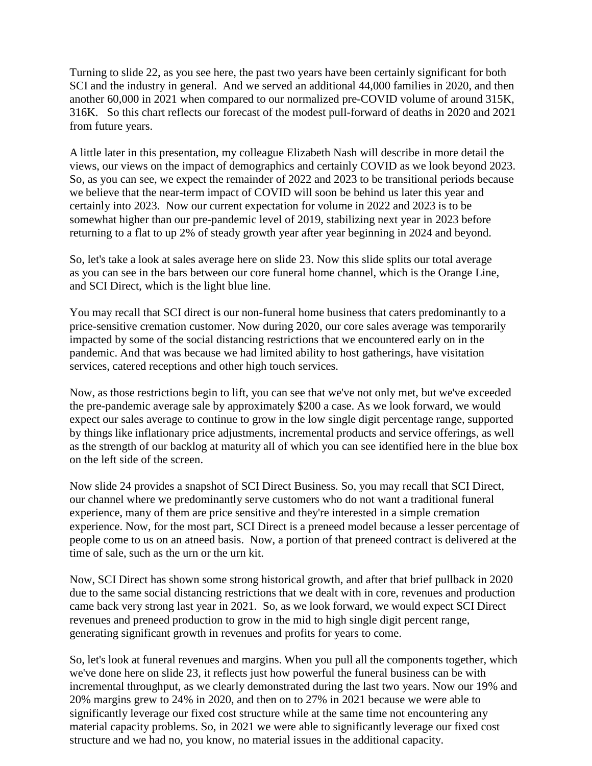Turning to slide 22, as you see here, the past two years have been certainly significant for both SCI and the industry in general. And we served an additional 44,000 families in 2020, and then another 60,000 in 2021 when compared to our normalized pre-COVID volume of around 315K, 316K. So this chart reflects our forecast of the modest pull-forward of deaths in 2020 and 2021 from future years.

A little later in this presentation, my colleague Elizabeth Nash will describe in more detail the views, our views on the impact of demographics and certainly COVID as we look beyond 2023. So, as you can see, we expect the remainder of 2022 and 2023 to be transitional periods because we believe that the near-term impact of COVID will soon be behind us later this year and certainly into 2023. Now our current expectation for volume in 2022 and 2023 is to be somewhat higher than our pre-pandemic level of 2019, stabilizing next year in 2023 before returning to a flat to up 2% of steady growth year after year beginning in 2024 and beyond.

So, let's take a look at sales average here on slide 23. Now this slide splits our total average as you can see in the bars between our core funeral home channel, which is the Orange Line, and SCI Direct, which is the light blue line.

You may recall that SCI direct is our non-funeral home business that caters predominantly to a price-sensitive cremation customer. Now during 2020, our core sales average was temporarily impacted by some of the social distancing restrictions that we encountered early on in the pandemic. And that was because we had limited ability to host gatherings, have visitation services, catered receptions and other high touch services.

Now, as those restrictions begin to lift, you can see that we've not only met, but we've exceeded the pre-pandemic average sale by approximately \$200 a case. As we look forward, we would expect our sales average to continue to grow in the low single digit percentage range, supported by things like inflationary price adjustments, incremental products and service offerings, as well as the strength of our backlog at maturity all of which you can see identified here in the blue box on the left side of the screen.

Now slide 24 provides a snapshot of SCI Direct Business. So, you may recall that SCI Direct, our channel where we predominantly serve customers who do not want a traditional funeral experience, many of them are price sensitive and they're interested in a simple cremation experience. Now, for the most part, SCI Direct is a preneed model because a lesser percentage of people come to us on an atneed basis. Now, a portion of that preneed contract is delivered at the time of sale, such as the urn or the urn kit.

Now, SCI Direct has shown some strong historical growth, and after that brief pullback in 2020 due to the same social distancing restrictions that we dealt with in core, revenues and production came back very strong last year in 2021. So, as we look forward, we would expect SCI Direct revenues and preneed production to grow in the mid to high single digit percent range, generating significant growth in revenues and profits for years to come.

So, let's look at funeral revenues and margins. When you pull all the components together, which we've done here on slide 23, it reflects just how powerful the funeral business can be with incremental throughput, as we clearly demonstrated during the last two years. Now our 19% and 20% margins grew to 24% in 2020, and then on to 27% in 2021 because we were able to significantly leverage our fixed cost structure while at the same time not encountering any material capacity problems. So, in 2021 we were able to significantly leverage our fixed cost structure and we had no, you know, no material issues in the additional capacity.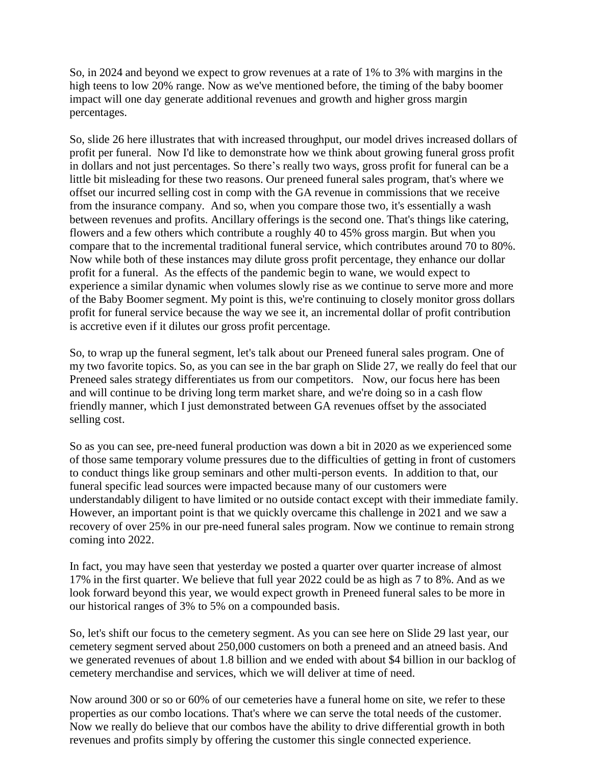So, in 2024 and beyond we expect to grow revenues at a rate of 1% to 3% with margins in the high teens to low 20% range. Now as we've mentioned before, the timing of the baby boomer impact will one day generate additional revenues and growth and higher gross margin percentages.

So, slide 26 here illustrates that with increased throughput, our model drives increased dollars of profit per funeral. Now I'd like to demonstrate how we think about growing funeral gross profit in dollars and not just percentages. So there's really two ways, gross profit for funeral can be a little bit misleading for these two reasons. Our preneed funeral sales program, that's where we offset our incurred selling cost in comp with the GA revenue in commissions that we receive from the insurance company. And so, when you compare those two, it's essentially a wash between revenues and profits. Ancillary offerings is the second one. That's things like catering, flowers and a few others which contribute a roughly 40 to 45% gross margin. But when you compare that to the incremental traditional funeral service, which contributes around 70 to 80%. Now while both of these instances may dilute gross profit percentage, they enhance our dollar profit for a funeral. As the effects of the pandemic begin to wane, we would expect to experience a similar dynamic when volumes slowly rise as we continue to serve more and more of the Baby Boomer segment. My point is this, we're continuing to closely monitor gross dollars profit for funeral service because the way we see it, an incremental dollar of profit contribution is accretive even if it dilutes our gross profit percentage.

So, to wrap up the funeral segment, let's talk about our Preneed funeral sales program. One of my two favorite topics. So, as you can see in the bar graph on Slide 27, we really do feel that our Preneed sales strategy differentiates us from our competitors. Now, our focus here has been and will continue to be driving long term market share, and we're doing so in a cash flow friendly manner, which I just demonstrated between GA revenues offset by the associated selling cost.

So as you can see, pre-need funeral production was down a bit in 2020 as we experienced some of those same temporary volume pressures due to the difficulties of getting in front of customers to conduct things like group seminars and other multi-person events. In addition to that, our funeral specific lead sources were impacted because many of our customers were understandably diligent to have limited or no outside contact except with their immediate family. However, an important point is that we quickly overcame this challenge in 2021 and we saw a recovery of over 25% in our pre-need funeral sales program. Now we continue to remain strong coming into 2022.

In fact, you may have seen that yesterday we posted a quarter over quarter increase of almost 17% in the first quarter. We believe that full year 2022 could be as high as 7 to 8%. And as we look forward beyond this year, we would expect growth in Preneed funeral sales to be more in our historical ranges of 3% to 5% on a compounded basis.

So, let's shift our focus to the cemetery segment. As you can see here on Slide 29 last year, our cemetery segment served about 250,000 customers on both a preneed and an atneed basis. And we generated revenues of about 1.8 billion and we ended with about \$4 billion in our backlog of cemetery merchandise and services, which we will deliver at time of need.

Now around 300 or so or 60% of our cemeteries have a funeral home on site, we refer to these properties as our combo locations. That's where we can serve the total needs of the customer. Now we really do believe that our combos have the ability to drive differential growth in both revenues and profits simply by offering the customer this single connected experience.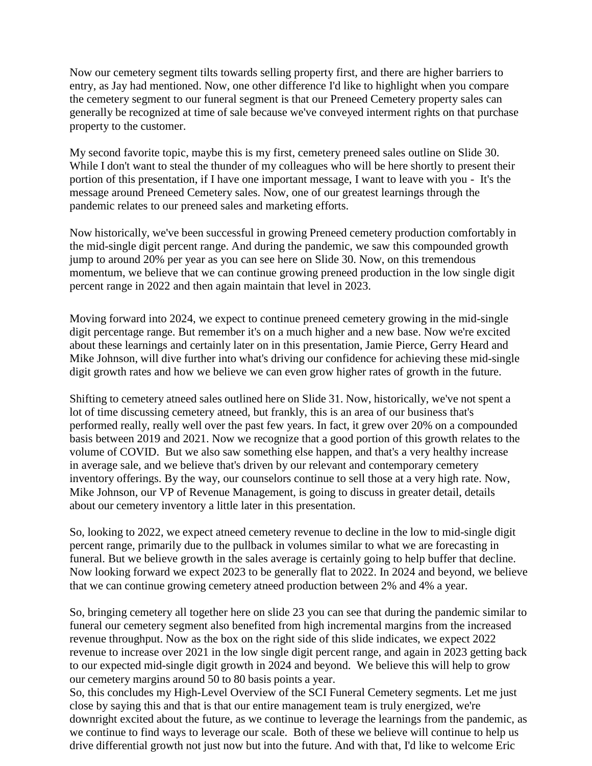Now our cemetery segment tilts towards selling property first, and there are higher barriers to entry, as Jay had mentioned. Now, one other difference I'd like to highlight when you compare the cemetery segment to our funeral segment is that our Preneed Cemetery property sales can generally be recognized at time of sale because we've conveyed interment rights on that purchase property to the customer.

My second favorite topic, maybe this is my first, cemetery preneed sales outline on Slide 30. While I don't want to steal the thunder of my colleagues who will be here shortly to present their portion of this presentation, if I have one important message, I want to leave with you - It's the message around Preneed Cemetery sales. Now, one of our greatest learnings through the pandemic relates to our preneed sales and marketing efforts.

Now historically, we've been successful in growing Preneed cemetery production comfortably in the mid-single digit percent range. And during the pandemic, we saw this compounded growth jump to around 20% per year as you can see here on Slide 30. Now, on this tremendous momentum, we believe that we can continue growing preneed production in the low single digit percent range in 2022 and then again maintain that level in 2023.

Moving forward into 2024, we expect to continue preneed cemetery growing in the mid-single digit percentage range. But remember it's on a much higher and a new base. Now we're excited about these learnings and certainly later on in this presentation, Jamie Pierce, Gerry Heard and Mike Johnson, will dive further into what's driving our confidence for achieving these mid-single digit growth rates and how we believe we can even grow higher rates of growth in the future.

Shifting to cemetery atneed sales outlined here on Slide 31. Now, historically, we've not spent a lot of time discussing cemetery atneed, but frankly, this is an area of our business that's performed really, really well over the past few years. In fact, it grew over 20% on a compounded basis between 2019 and 2021. Now we recognize that a good portion of this growth relates to the volume of COVID. But we also saw something else happen, and that's a very healthy increase in average sale, and we believe that's driven by our relevant and contemporary cemetery inventory offerings. By the way, our counselors continue to sell those at a very high rate. Now, Mike Johnson, our VP of Revenue Management, is going to discuss in greater detail, details about our cemetery inventory a little later in this presentation.

So, looking to 2022, we expect atneed cemetery revenue to decline in the low to mid-single digit percent range, primarily due to the pullback in volumes similar to what we are forecasting in funeral. But we believe growth in the sales average is certainly going to help buffer that decline. Now looking forward we expect 2023 to be generally flat to 2022. In 2024 and beyond, we believe that we can continue growing cemetery atneed production between 2% and 4% a year.

So, bringing cemetery all together here on slide 23 you can see that during the pandemic similar to funeral our cemetery segment also benefited from high incremental margins from the increased revenue throughput. Now as the box on the right side of this slide indicates, we expect 2022 revenue to increase over 2021 in the low single digit percent range, and again in 2023 getting back to our expected mid-single digit growth in 2024 and beyond. We believe this will help to grow our cemetery margins around 50 to 80 basis points a year.

So, this concludes my High-Level Overview of the SCI Funeral Cemetery segments. Let me just close by saying this and that is that our entire management team is truly energized, we're downright excited about the future, as we continue to leverage the learnings from the pandemic, as we continue to find ways to leverage our scale. Both of these we believe will continue to help us drive differential growth not just now but into the future. And with that, I'd like to welcome Eric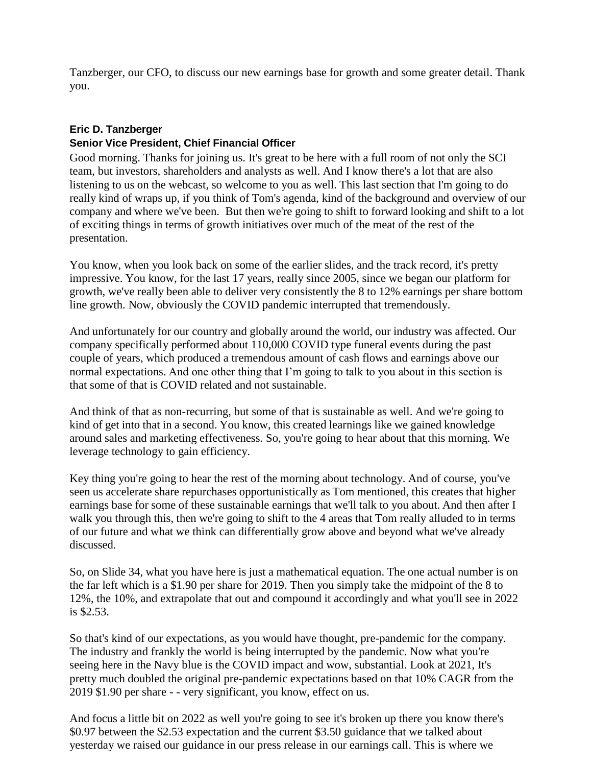Tanzberger, our CFO, to discuss our new earnings base for growth and some greater detail. Thank you.

#### **Eric D. Tanzberger**

#### **Senior Vice President, Chief Financial Officer**

Good morning. Thanks for joining us. It's great to be here with a full room of not only the SCI team, but investors, shareholders and analysts as well. And I know there's a lot that are also listening to us on the webcast, so welcome to you as well. This last section that I'm going to do really kind of wraps up, if you think of Tom's agenda, kind of the background and overview of our company and where we've been. But then we're going to shift to forward looking and shift to a lot of exciting things in terms of growth initiatives over much of the meat of the rest of the presentation.

You know, when you look back on some of the earlier slides, and the track record, it's pretty impressive. You know, for the last 17 years, really since 2005, since we began our platform for growth, we've really been able to deliver very consistently the 8 to 12% earnings per share bottom line growth. Now, obviously the COVID pandemic interrupted that tremendously.

And unfortunately for our country and globally around the world, our industry was affected. Our company specifically performed about 110,000 COVID type funeral events during the past couple of years, which produced a tremendous amount of cash flows and earnings above our normal expectations. And one other thing that I'm going to talk to you about in this section is that some of that is COVID related and not sustainable.

And think of that as non-recurring, but some of that is sustainable as well. And we're going to kind of get into that in a second. You know, this created learnings like we gained knowledge around sales and marketing effectiveness. So, you're going to hear about that this morning. We leverage technology to gain efficiency.

Key thing you're going to hear the rest of the morning about technology. And of course, you've seen us accelerate share repurchases opportunistically as Tom mentioned, this creates that higher earnings base for some of these sustainable earnings that we'll talk to you about. And then after I walk you through this, then we're going to shift to the 4 areas that Tom really alluded to in terms of our future and what we think can differentially grow above and beyond what we've already discussed.

So, on Slide 34, what you have here is just a mathematical equation. The one actual number is on the far left which is a \$1.90 per share for 2019. Then you simply take the midpoint of the 8 to 12%, the 10%, and extrapolate that out and compound it accordingly and what you'll see in 2022 is \$2.53.

So that's kind of our expectations, as you would have thought, pre-pandemic for the company. The industry and frankly the world is being interrupted by the pandemic. Now what you're seeing here in the Navy blue is the COVID impact and wow, substantial. Look at 2021, It's pretty much doubled the original pre-pandemic expectations based on that 10% CAGR from the 2019 \$1.90 per share - - very significant, you know, effect on us.

And focus a little bit on 2022 as well you're going to see it's broken up there you know there's \$0.97 between the \$2.53 expectation and the current \$3.50 guidance that we talked about yesterday we raised our guidance in our press release in our earnings call. This is where we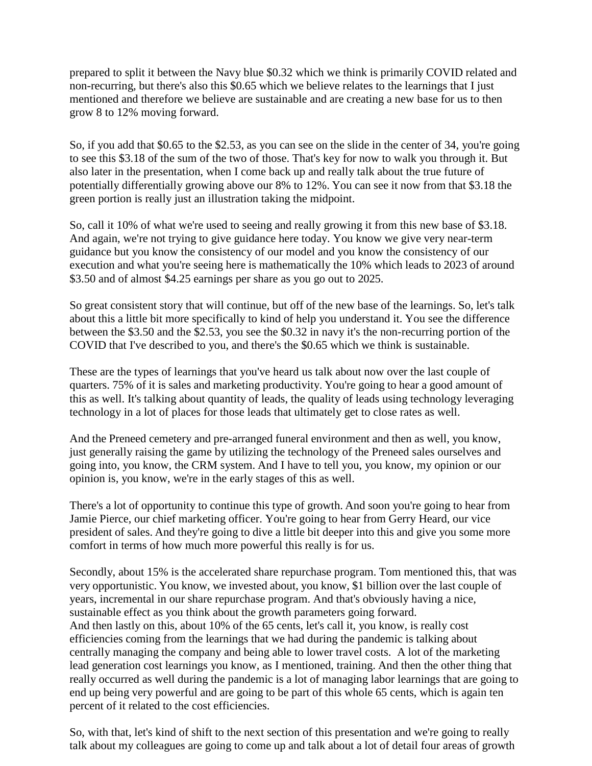prepared to split it between the Navy blue \$0.32 which we think is primarily COVID related and non-recurring, but there's also this \$0.65 which we believe relates to the learnings that I just mentioned and therefore we believe are sustainable and are creating a new base for us to then grow 8 to 12% moving forward.

So, if you add that \$0.65 to the \$2.53, as you can see on the slide in the center of 34, you're going to see this \$3.18 of the sum of the two of those. That's key for now to walk you through it. But also later in the presentation, when I come back up and really talk about the true future of potentially differentially growing above our 8% to 12%. You can see it now from that \$3.18 the green portion is really just an illustration taking the midpoint.

So, call it 10% of what we're used to seeing and really growing it from this new base of \$3.18. And again, we're not trying to give guidance here today. You know we give very near-term guidance but you know the consistency of our model and you know the consistency of our execution and what you're seeing here is mathematically the 10% which leads to 2023 of around \$3.50 and of almost \$4.25 earnings per share as you go out to 2025.

So great consistent story that will continue, but off of the new base of the learnings. So, let's talk about this a little bit more specifically to kind of help you understand it. You see the difference between the \$3.50 and the \$2.53, you see the \$0.32 in navy it's the non-recurring portion of the COVID that I've described to you, and there's the \$0.65 which we think is sustainable.

These are the types of learnings that you've heard us talk about now over the last couple of quarters. 75% of it is sales and marketing productivity. You're going to hear a good amount of this as well. It's talking about quantity of leads, the quality of leads using technology leveraging technology in a lot of places for those leads that ultimately get to close rates as well.

And the Preneed cemetery and pre-arranged funeral environment and then as well, you know, just generally raising the game by utilizing the technology of the Preneed sales ourselves and going into, you know, the CRM system. And I have to tell you, you know, my opinion or our opinion is, you know, we're in the early stages of this as well.

There's a lot of opportunity to continue this type of growth. And soon you're going to hear from Jamie Pierce, our chief marketing officer. You're going to hear from Gerry Heard, our vice president of sales. And they're going to dive a little bit deeper into this and give you some more comfort in terms of how much more powerful this really is for us.

Secondly, about 15% is the accelerated share repurchase program. Tom mentioned this, that was very opportunistic. You know, we invested about, you know, \$1 billion over the last couple of years, incremental in our share repurchase program. And that's obviously having a nice, sustainable effect as you think about the growth parameters going forward. And then lastly on this, about 10% of the 65 cents, let's call it, you know, is really cost efficiencies coming from the learnings that we had during the pandemic is talking about centrally managing the company and being able to lower travel costs. A lot of the marketing lead generation cost learnings you know, as I mentioned, training. And then the other thing that really occurred as well during the pandemic is a lot of managing labor learnings that are going to end up being very powerful and are going to be part of this whole 65 cents, which is again ten percent of it related to the cost efficiencies.

So, with that, let's kind of shift to the next section of this presentation and we're going to really talk about my colleagues are going to come up and talk about a lot of detail four areas of growth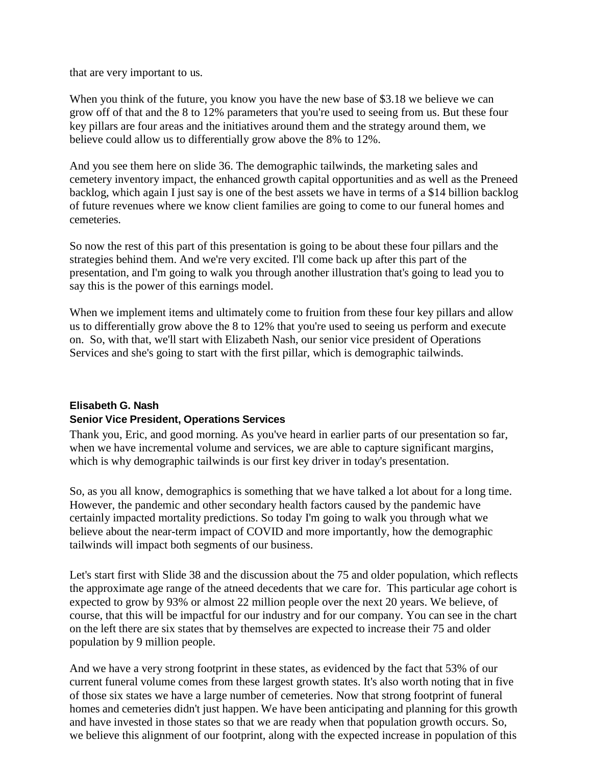that are very important to us.

When you think of the future, you know you have the new base of \$3.18 we believe we can grow off of that and the 8 to 12% parameters that you're used to seeing from us. But these four key pillars are four areas and the initiatives around them and the strategy around them, we believe could allow us to differentially grow above the 8% to 12%.

And you see them here on slide 36. The demographic tailwinds, the marketing sales and cemetery inventory impact, the enhanced growth capital opportunities and as well as the Preneed backlog, which again I just say is one of the best assets we have in terms of a \$14 billion backlog of future revenues where we know client families are going to come to our funeral homes and cemeteries.

So now the rest of this part of this presentation is going to be about these four pillars and the strategies behind them. And we're very excited. I'll come back up after this part of the presentation, and I'm going to walk you through another illustration that's going to lead you to say this is the power of this earnings model.

When we implement items and ultimately come to fruition from these four key pillars and allow us to differentially grow above the 8 to 12% that you're used to seeing us perform and execute on. So, with that, we'll start with Elizabeth Nash, our senior vice president of Operations Services and she's going to start with the first pillar, which is demographic tailwinds.

#### **Elisabeth G. Nash**

#### **Senior Vice President, Operations Services**

Thank you, Eric, and good morning. As you've heard in earlier parts of our presentation so far, when we have incremental volume and services, we are able to capture significant margins, which is why demographic tailwinds is our first key driver in today's presentation.

So, as you all know, demographics is something that we have talked a lot about for a long time. However, the pandemic and other secondary health factors caused by the pandemic have certainly impacted mortality predictions. So today I'm going to walk you through what we believe about the near-term impact of COVID and more importantly, how the demographic tailwinds will impact both segments of our business.

Let's start first with Slide 38 and the discussion about the 75 and older population, which reflects the approximate age range of the atneed decedents that we care for. This particular age cohort is expected to grow by 93% or almost 22 million people over the next 20 years. We believe, of course, that this will be impactful for our industry and for our company. You can see in the chart on the left there are six states that by themselves are expected to increase their 75 and older population by 9 million people.

And we have a very strong footprint in these states, as evidenced by the fact that 53% of our current funeral volume comes from these largest growth states. It's also worth noting that in five of those six states we have a large number of cemeteries. Now that strong footprint of funeral homes and cemeteries didn't just happen. We have been anticipating and planning for this growth and have invested in those states so that we are ready when that population growth occurs. So, we believe this alignment of our footprint, along with the expected increase in population of this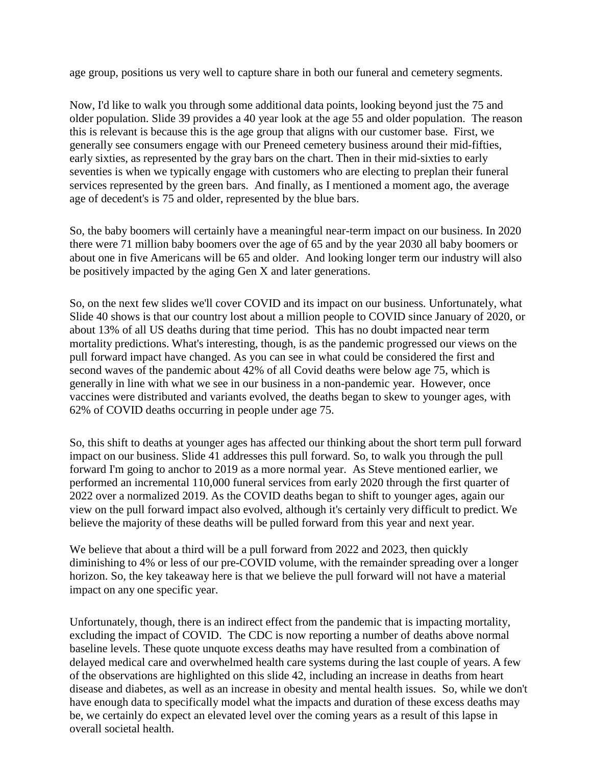age group, positions us very well to capture share in both our funeral and cemetery segments.

Now, I'd like to walk you through some additional data points, looking beyond just the 75 and older population. Slide 39 provides a 40 year look at the age 55 and older population. The reason this is relevant is because this is the age group that aligns with our customer base. First, we generally see consumers engage with our Preneed cemetery business around their mid-fifties, early sixties, as represented by the gray bars on the chart. Then in their mid-sixties to early seventies is when we typically engage with customers who are electing to preplan their funeral services represented by the green bars. And finally, as I mentioned a moment ago, the average age of decedent's is 75 and older, represented by the blue bars.

So, the baby boomers will certainly have a meaningful near-term impact on our business. In 2020 there were 71 million baby boomers over the age of 65 and by the year 2030 all baby boomers or about one in five Americans will be 65 and older. And looking longer term our industry will also be positively impacted by the aging Gen X and later generations.

So, on the next few slides we'll cover COVID and its impact on our business. Unfortunately, what Slide 40 shows is that our country lost about a million people to COVID since January of 2020, or about 13% of all US deaths during that time period. This has no doubt impacted near term mortality predictions. What's interesting, though, is as the pandemic progressed our views on the pull forward impact have changed. As you can see in what could be considered the first and second waves of the pandemic about 42% of all Covid deaths were below age 75, which is generally in line with what we see in our business in a non-pandemic year. However, once vaccines were distributed and variants evolved, the deaths began to skew to younger ages, with 62% of COVID deaths occurring in people under age 75.

So, this shift to deaths at younger ages has affected our thinking about the short term pull forward impact on our business. Slide 41 addresses this pull forward. So, to walk you through the pull forward I'm going to anchor to 2019 as a more normal year. As Steve mentioned earlier, we performed an incremental 110,000 funeral services from early 2020 through the first quarter of 2022 over a normalized 2019. As the COVID deaths began to shift to younger ages, again our view on the pull forward impact also evolved, although it's certainly very difficult to predict. We believe the majority of these deaths will be pulled forward from this year and next year.

We believe that about a third will be a pull forward from 2022 and 2023, then quickly diminishing to 4% or less of our pre-COVID volume, with the remainder spreading over a longer horizon. So, the key takeaway here is that we believe the pull forward will not have a material impact on any one specific year.

Unfortunately, though, there is an indirect effect from the pandemic that is impacting mortality, excluding the impact of COVID. The CDC is now reporting a number of deaths above normal baseline levels. These quote unquote excess deaths may have resulted from a combination of delayed medical care and overwhelmed health care systems during the last couple of years. A few of the observations are highlighted on this slide 42, including an increase in deaths from heart disease and diabetes, as well as an increase in obesity and mental health issues. So, while we don't have enough data to specifically model what the impacts and duration of these excess deaths may be, we certainly do expect an elevated level over the coming years as a result of this lapse in overall societal health.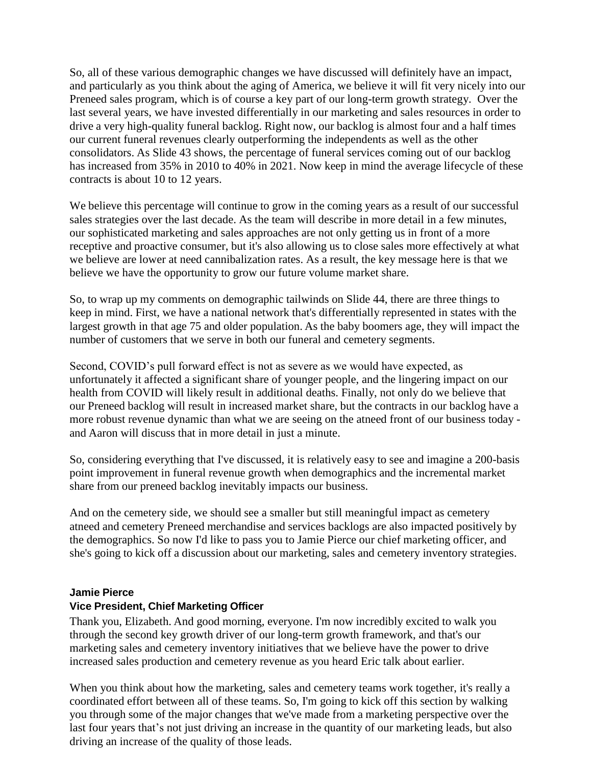So, all of these various demographic changes we have discussed will definitely have an impact, and particularly as you think about the aging of America, we believe it will fit very nicely into our Preneed sales program, which is of course a key part of our long-term growth strategy. Over the last several years, we have invested differentially in our marketing and sales resources in order to drive a very high-quality funeral backlog. Right now, our backlog is almost four and a half times our current funeral revenues clearly outperforming the independents as well as the other consolidators. As Slide 43 shows, the percentage of funeral services coming out of our backlog has increased from 35% in 2010 to 40% in 2021. Now keep in mind the average lifecycle of these contracts is about 10 to 12 years.

We believe this percentage will continue to grow in the coming years as a result of our successful sales strategies over the last decade. As the team will describe in more detail in a few minutes, our sophisticated marketing and sales approaches are not only getting us in front of a more receptive and proactive consumer, but it's also allowing us to close sales more effectively at what we believe are lower at need cannibalization rates. As a result, the key message here is that we believe we have the opportunity to grow our future volume market share.

So, to wrap up my comments on demographic tailwinds on Slide 44, there are three things to keep in mind. First, we have a national network that's differentially represented in states with the largest growth in that age 75 and older population. As the baby boomers age, they will impact the number of customers that we serve in both our funeral and cemetery segments.

Second, COVID's pull forward effect is not as severe as we would have expected, as unfortunately it affected a significant share of younger people, and the lingering impact on our health from COVID will likely result in additional deaths. Finally, not only do we believe that our Preneed backlog will result in increased market share, but the contracts in our backlog have a more robust revenue dynamic than what we are seeing on the atneed front of our business today and Aaron will discuss that in more detail in just a minute.

So, considering everything that I've discussed, it is relatively easy to see and imagine a 200-basis point improvement in funeral revenue growth when demographics and the incremental market share from our preneed backlog inevitably impacts our business.

And on the cemetery side, we should see a smaller but still meaningful impact as cemetery atneed and cemetery Preneed merchandise and services backlogs are also impacted positively by the demographics. So now I'd like to pass you to Jamie Pierce our chief marketing officer, and she's going to kick off a discussion about our marketing, sales and cemetery inventory strategies.

#### **Jamie Pierce**

## **Vice President, Chief Marketing Officer**

Thank you, Elizabeth. And good morning, everyone. I'm now incredibly excited to walk you through the second key growth driver of our long-term growth framework, and that's our marketing sales and cemetery inventory initiatives that we believe have the power to drive increased sales production and cemetery revenue as you heard Eric talk about earlier.

When you think about how the marketing, sales and cemetery teams work together, it's really a coordinated effort between all of these teams. So, I'm going to kick off this section by walking you through some of the major changes that we've made from a marketing perspective over the last four years that's not just driving an increase in the quantity of our marketing leads, but also driving an increase of the quality of those leads.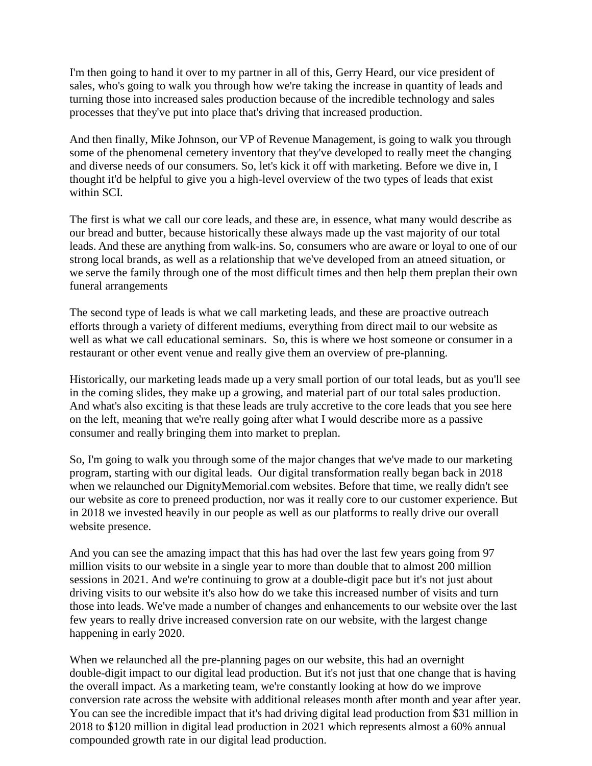I'm then going to hand it over to my partner in all of this, Gerry Heard, our vice president of sales, who's going to walk you through how we're taking the increase in quantity of leads and turning those into increased sales production because of the incredible technology and sales processes that they've put into place that's driving that increased production.

And then finally, Mike Johnson, our VP of Revenue Management, is going to walk you through some of the phenomenal cemetery inventory that they've developed to really meet the changing and diverse needs of our consumers. So, let's kick it off with marketing. Before we dive in, I thought it'd be helpful to give you a high-level overview of the two types of leads that exist within SCI.

The first is what we call our core leads, and these are, in essence, what many would describe as our bread and butter, because historically these always made up the vast majority of our total leads. And these are anything from walk-ins. So, consumers who are aware or loyal to one of our strong local brands, as well as a relationship that we've developed from an atneed situation, or we serve the family through one of the most difficult times and then help them preplan their own funeral arrangements

The second type of leads is what we call marketing leads, and these are proactive outreach efforts through a variety of different mediums, everything from direct mail to our website as well as what we call educational seminars. So, this is where we host someone or consumer in a restaurant or other event venue and really give them an overview of pre-planning.

Historically, our marketing leads made up a very small portion of our total leads, but as you'll see in the coming slides, they make up a growing, and material part of our total sales production. And what's also exciting is that these leads are truly accretive to the core leads that you see here on the left, meaning that we're really going after what I would describe more as a passive consumer and really bringing them into market to preplan.

So, I'm going to walk you through some of the major changes that we've made to our marketing program, starting with our digital leads. Our digital transformation really began back in 2018 when we relaunched our DignityMemorial.com websites. Before that time, we really didn't see our website as core to preneed production, nor was it really core to our customer experience. But in 2018 we invested heavily in our people as well as our platforms to really drive our overall website presence.

And you can see the amazing impact that this has had over the last few years going from 97 million visits to our website in a single year to more than double that to almost 200 million sessions in 2021. And we're continuing to grow at a double-digit pace but it's not just about driving visits to our website it's also how do we take this increased number of visits and turn those into leads. We've made a number of changes and enhancements to our website over the last few years to really drive increased conversion rate on our website, with the largest change happening in early 2020.

When we relaunched all the pre-planning pages on our website, this had an overnight double-digit impact to our digital lead production. But it's not just that one change that is having the overall impact. As a marketing team, we're constantly looking at how do we improve conversion rate across the website with additional releases month after month and year after year. You can see the incredible impact that it's had driving digital lead production from \$31 million in 2018 to \$120 million in digital lead production in 2021 which represents almost a 60% annual compounded growth rate in our digital lead production.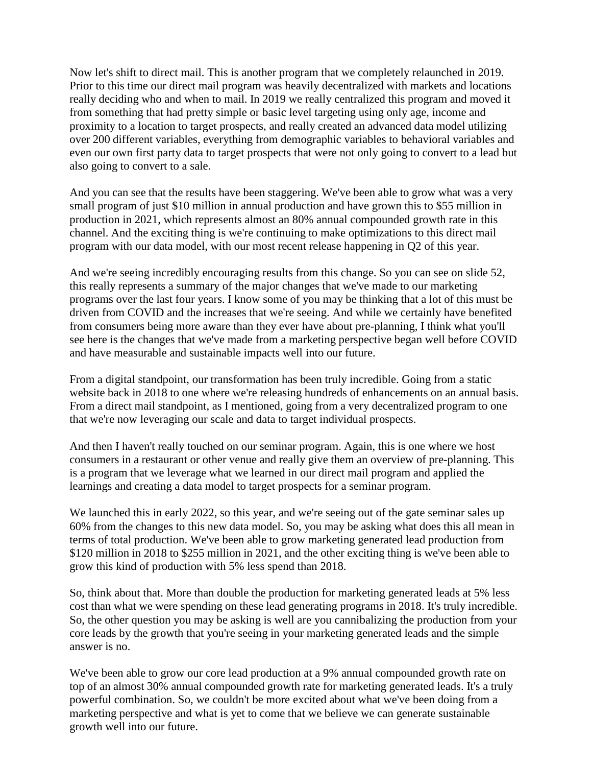Now let's shift to direct mail. This is another program that we completely relaunched in 2019. Prior to this time our direct mail program was heavily decentralized with markets and locations really deciding who and when to mail. In 2019 we really centralized this program and moved it from something that had pretty simple or basic level targeting using only age, income and proximity to a location to target prospects, and really created an advanced data model utilizing over 200 different variables, everything from demographic variables to behavioral variables and even our own first party data to target prospects that were not only going to convert to a lead but also going to convert to a sale.

And you can see that the results have been staggering. We've been able to grow what was a very small program of just \$10 million in annual production and have grown this to \$55 million in production in 2021, which represents almost an 80% annual compounded growth rate in this channel. And the exciting thing is we're continuing to make optimizations to this direct mail program with our data model, with our most recent release happening in Q2 of this year.

And we're seeing incredibly encouraging results from this change. So you can see on slide 52, this really represents a summary of the major changes that we've made to our marketing programs over the last four years. I know some of you may be thinking that a lot of this must be driven from COVID and the increases that we're seeing. And while we certainly have benefited from consumers being more aware than they ever have about pre-planning, I think what you'll see here is the changes that we've made from a marketing perspective began well before COVID and have measurable and sustainable impacts well into our future.

From a digital standpoint, our transformation has been truly incredible. Going from a static website back in 2018 to one where we're releasing hundreds of enhancements on an annual basis. From a direct mail standpoint, as I mentioned, going from a very decentralized program to one that we're now leveraging our scale and data to target individual prospects.

And then I haven't really touched on our seminar program. Again, this is one where we host consumers in a restaurant or other venue and really give them an overview of pre-planning. This is a program that we leverage what we learned in our direct mail program and applied the learnings and creating a data model to target prospects for a seminar program.

We launched this in early 2022, so this year, and we're seeing out of the gate seminar sales up 60% from the changes to this new data model. So, you may be asking what does this all mean in terms of total production. We've been able to grow marketing generated lead production from \$120 million in 2018 to \$255 million in 2021, and the other exciting thing is we've been able to grow this kind of production with 5% less spend than 2018.

So, think about that. More than double the production for marketing generated leads at 5% less cost than what we were spending on these lead generating programs in 2018. It's truly incredible. So, the other question you may be asking is well are you cannibalizing the production from your core leads by the growth that you're seeing in your marketing generated leads and the simple answer is no.

We've been able to grow our core lead production at a 9% annual compounded growth rate on top of an almost 30% annual compounded growth rate for marketing generated leads. It's a truly powerful combination. So, we couldn't be more excited about what we've been doing from a marketing perspective and what is yet to come that we believe we can generate sustainable growth well into our future.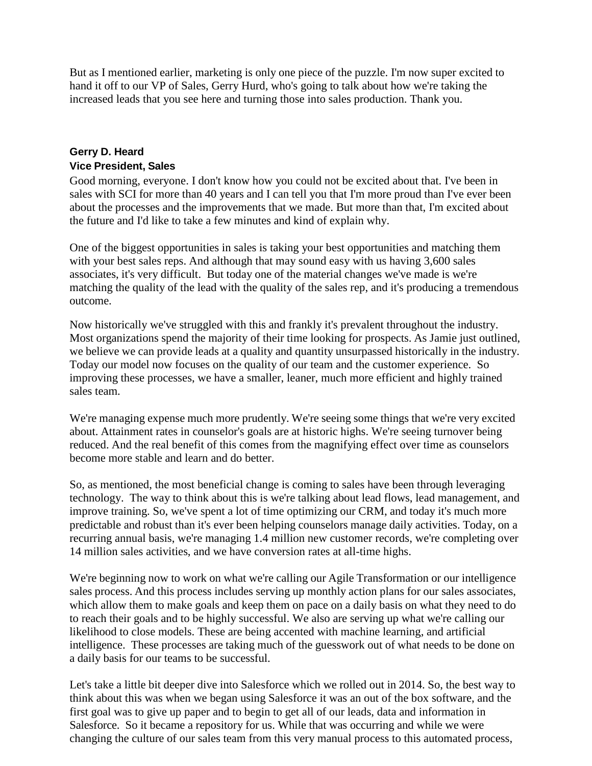But as I mentioned earlier, marketing is only one piece of the puzzle. I'm now super excited to hand it off to our VP of Sales, Gerry Hurd, who's going to talk about how we're taking the increased leads that you see here and turning those into sales production. Thank you.

## **Gerry D. Heard Vice President, Sales**

Good morning, everyone. I don't know how you could not be excited about that. I've been in sales with SCI for more than 40 years and I can tell you that I'm more proud than I've ever been about the processes and the improvements that we made. But more than that, I'm excited about the future and I'd like to take a few minutes and kind of explain why.

One of the biggest opportunities in sales is taking your best opportunities and matching them with your best sales reps. And although that may sound easy with us having 3,600 sales associates, it's very difficult. But today one of the material changes we've made is we're matching the quality of the lead with the quality of the sales rep, and it's producing a tremendous outcome.

Now historically we've struggled with this and frankly it's prevalent throughout the industry. Most organizations spend the majority of their time looking for prospects. As Jamie just outlined, we believe we can provide leads at a quality and quantity unsurpassed historically in the industry. Today our model now focuses on the quality of our team and the customer experience. So improving these processes, we have a smaller, leaner, much more efficient and highly trained sales team.

We're managing expense much more prudently. We're seeing some things that we're very excited about. Attainment rates in counselor's goals are at historic highs. We're seeing turnover being reduced. And the real benefit of this comes from the magnifying effect over time as counselors become more stable and learn and do better.

So, as mentioned, the most beneficial change is coming to sales have been through leveraging technology. The way to think about this is we're talking about lead flows, lead management, and improve training. So, we've spent a lot of time optimizing our CRM, and today it's much more predictable and robust than it's ever been helping counselors manage daily activities. Today, on a recurring annual basis, we're managing 1.4 million new customer records, we're completing over 14 million sales activities, and we have conversion rates at all-time highs.

We're beginning now to work on what we're calling our Agile Transformation or our intelligence sales process. And this process includes serving up monthly action plans for our sales associates, which allow them to make goals and keep them on pace on a daily basis on what they need to do to reach their goals and to be highly successful. We also are serving up what we're calling our likelihood to close models. These are being accented with machine learning, and artificial intelligence. These processes are taking much of the guesswork out of what needs to be done on a daily basis for our teams to be successful.

Let's take a little bit deeper dive into Salesforce which we rolled out in 2014. So, the best way to think about this was when we began using Salesforce it was an out of the box software, and the first goal was to give up paper and to begin to get all of our leads, data and information in Salesforce. So it became a repository for us. While that was occurring and while we were changing the culture of our sales team from this very manual process to this automated process,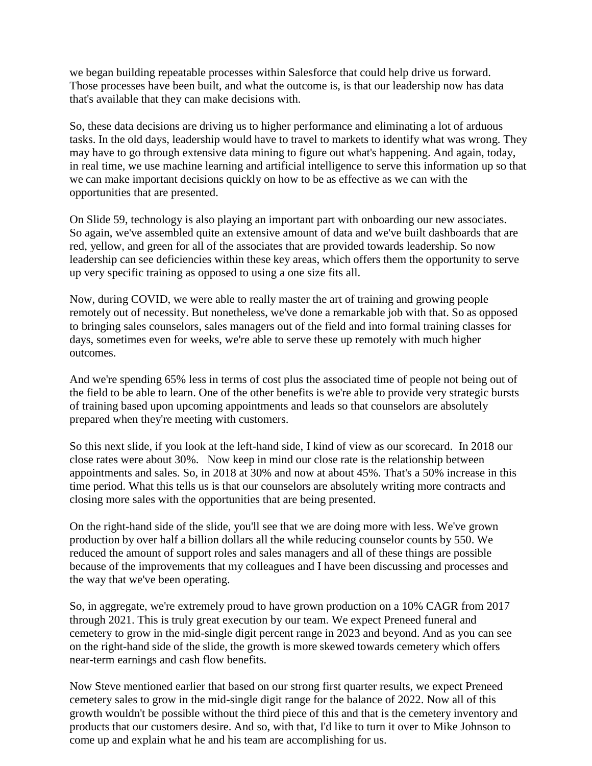we began building repeatable processes within Salesforce that could help drive us forward. Those processes have been built, and what the outcome is, is that our leadership now has data that's available that they can make decisions with.

So, these data decisions are driving us to higher performance and eliminating a lot of arduous tasks. In the old days, leadership would have to travel to markets to identify what was wrong. They may have to go through extensive data mining to figure out what's happening. And again, today, in real time, we use machine learning and artificial intelligence to serve this information up so that we can make important decisions quickly on how to be as effective as we can with the opportunities that are presented.

On Slide 59, technology is also playing an important part with onboarding our new associates. So again, we've assembled quite an extensive amount of data and we've built dashboards that are red, yellow, and green for all of the associates that are provided towards leadership. So now leadership can see deficiencies within these key areas, which offers them the opportunity to serve up very specific training as opposed to using a one size fits all.

Now, during COVID, we were able to really master the art of training and growing people remotely out of necessity. But nonetheless, we've done a remarkable job with that. So as opposed to bringing sales counselors, sales managers out of the field and into formal training classes for days, sometimes even for weeks, we're able to serve these up remotely with much higher outcomes.

And we're spending 65% less in terms of cost plus the associated time of people not being out of the field to be able to learn. One of the other benefits is we're able to provide very strategic bursts of training based upon upcoming appointments and leads so that counselors are absolutely prepared when they're meeting with customers.

So this next slide, if you look at the left-hand side, I kind of view as our scorecard. In 2018 our close rates were about 30%. Now keep in mind our close rate is the relationship between appointments and sales. So, in 2018 at 30% and now at about 45%. That's a 50% increase in this time period. What this tells us is that our counselors are absolutely writing more contracts and closing more sales with the opportunities that are being presented.

On the right-hand side of the slide, you'll see that we are doing more with less. We've grown production by over half a billion dollars all the while reducing counselor counts by 550. We reduced the amount of support roles and sales managers and all of these things are possible because of the improvements that my colleagues and I have been discussing and processes and the way that we've been operating.

So, in aggregate, we're extremely proud to have grown production on a 10% CAGR from 2017 through 2021. This is truly great execution by our team. We expect Preneed funeral and cemetery to grow in the mid-single digit percent range in 2023 and beyond. And as you can see on the right-hand side of the slide, the growth is more skewed towards cemetery which offers near-term earnings and cash flow benefits.

Now Steve mentioned earlier that based on our strong first quarter results, we expect Preneed cemetery sales to grow in the mid-single digit range for the balance of 2022. Now all of this growth wouldn't be possible without the third piece of this and that is the cemetery inventory and products that our customers desire. And so, with that, I'd like to turn it over to Mike Johnson to come up and explain what he and his team are accomplishing for us.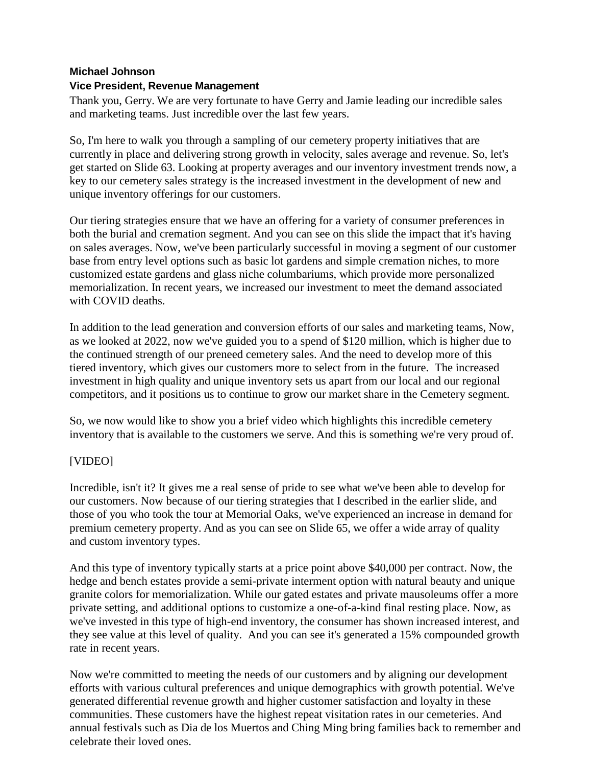#### **Michael Johnson**

#### **Vice President, Revenue Management**

Thank you, Gerry. We are very fortunate to have Gerry and Jamie leading our incredible sales and marketing teams. Just incredible over the last few years.

So, I'm here to walk you through a sampling of our cemetery property initiatives that are currently in place and delivering strong growth in velocity, sales average and revenue. So, let's get started on Slide 63. Looking at property averages and our inventory investment trends now, a key to our cemetery sales strategy is the increased investment in the development of new and unique inventory offerings for our customers.

Our tiering strategies ensure that we have an offering for a variety of consumer preferences in both the burial and cremation segment. And you can see on this slide the impact that it's having on sales averages. Now, we've been particularly successful in moving a segment of our customer base from entry level options such as basic lot gardens and simple cremation niches, to more customized estate gardens and glass niche columbariums, which provide more personalized memorialization. In recent years, we increased our investment to meet the demand associated with COVID deaths.

In addition to the lead generation and conversion efforts of our sales and marketing teams, Now, as we looked at 2022, now we've guided you to a spend of \$120 million, which is higher due to the continued strength of our preneed cemetery sales. And the need to develop more of this tiered inventory, which gives our customers more to select from in the future. The increased investment in high quality and unique inventory sets us apart from our local and our regional competitors, and it positions us to continue to grow our market share in the Cemetery segment.

So, we now would like to show you a brief video which highlights this incredible cemetery inventory that is available to the customers we serve. And this is something we're very proud of.

## [VIDEO]

Incredible, isn't it? It gives me a real sense of pride to see what we've been able to develop for our customers. Now because of our tiering strategies that I described in the earlier slide, and those of you who took the tour at Memorial Oaks, we've experienced an increase in demand for premium cemetery property. And as you can see on Slide 65, we offer a wide array of quality and custom inventory types.

And this type of inventory typically starts at a price point above \$40,000 per contract. Now, the hedge and bench estates provide a semi-private interment option with natural beauty and unique granite colors for memorialization. While our gated estates and private mausoleums offer a more private setting, and additional options to customize a one-of-a-kind final resting place. Now, as we've invested in this type of high-end inventory, the consumer has shown increased interest, and they see value at this level of quality. And you can see it's generated a 15% compounded growth rate in recent years.

Now we're committed to meeting the needs of our customers and by aligning our development efforts with various cultural preferences and unique demographics with growth potential. We've generated differential revenue growth and higher customer satisfaction and loyalty in these communities. These customers have the highest repeat visitation rates in our cemeteries. And annual festivals such as Dia de los Muertos and Ching Ming bring families back to remember and celebrate their loved ones.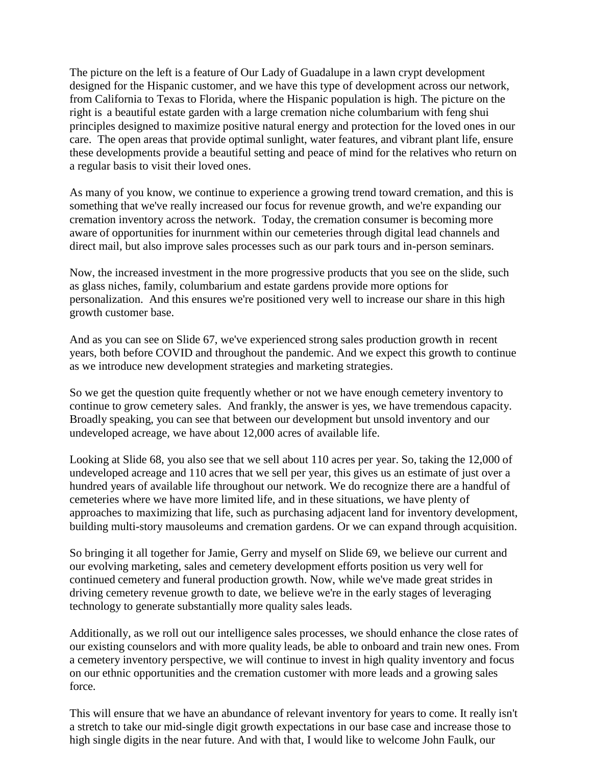The picture on the left is a feature of Our Lady of Guadalupe in a lawn crypt development designed for the Hispanic customer, and we have this type of development across our network, from California to Texas to Florida, where the Hispanic population is high. The picture on the right is a beautiful estate garden with a large cremation niche columbarium with feng shui principles designed to maximize positive natural energy and protection for the loved ones in our care. The open areas that provide optimal sunlight, water features, and vibrant plant life, ensure these developments provide a beautiful setting and peace of mind for the relatives who return on a regular basis to visit their loved ones.

As many of you know, we continue to experience a growing trend toward cremation, and this is something that we've really increased our focus for revenue growth, and we're expanding our cremation inventory across the network. Today, the cremation consumer is becoming more aware of opportunities for inurnment within our cemeteries through digital lead channels and direct mail, but also improve sales processes such as our park tours and in-person seminars.

Now, the increased investment in the more progressive products that you see on the slide, such as glass niches, family, columbarium and estate gardens provide more options for personalization. And this ensures we're positioned very well to increase our share in this high growth customer base.

And as you can see on Slide 67, we've experienced strong sales production growth in recent years, both before COVID and throughout the pandemic. And we expect this growth to continue as we introduce new development strategies and marketing strategies.

So we get the question quite frequently whether or not we have enough cemetery inventory to continue to grow cemetery sales. And frankly, the answer is yes, we have tremendous capacity. Broadly speaking, you can see that between our development but unsold inventory and our undeveloped acreage, we have about 12,000 acres of available life.

Looking at Slide 68, you also see that we sell about 110 acres per year. So, taking the 12,000 of undeveloped acreage and 110 acres that we sell per year, this gives us an estimate of just over a hundred years of available life throughout our network. We do recognize there are a handful of cemeteries where we have more limited life, and in these situations, we have plenty of approaches to maximizing that life, such as purchasing adjacent land for inventory development, building multi-story mausoleums and cremation gardens. Or we can expand through acquisition.

So bringing it all together for Jamie, Gerry and myself on Slide 69, we believe our current and our evolving marketing, sales and cemetery development efforts position us very well for continued cemetery and funeral production growth. Now, while we've made great strides in driving cemetery revenue growth to date, we believe we're in the early stages of leveraging technology to generate substantially more quality sales leads.

Additionally, as we roll out our intelligence sales processes, we should enhance the close rates of our existing counselors and with more quality leads, be able to onboard and train new ones. From a cemetery inventory perspective, we will continue to invest in high quality inventory and focus on our ethnic opportunities and the cremation customer with more leads and a growing sales force.

This will ensure that we have an abundance of relevant inventory for years to come. It really isn't a stretch to take our mid-single digit growth expectations in our base case and increase those to high single digits in the near future. And with that, I would like to welcome John Faulk, our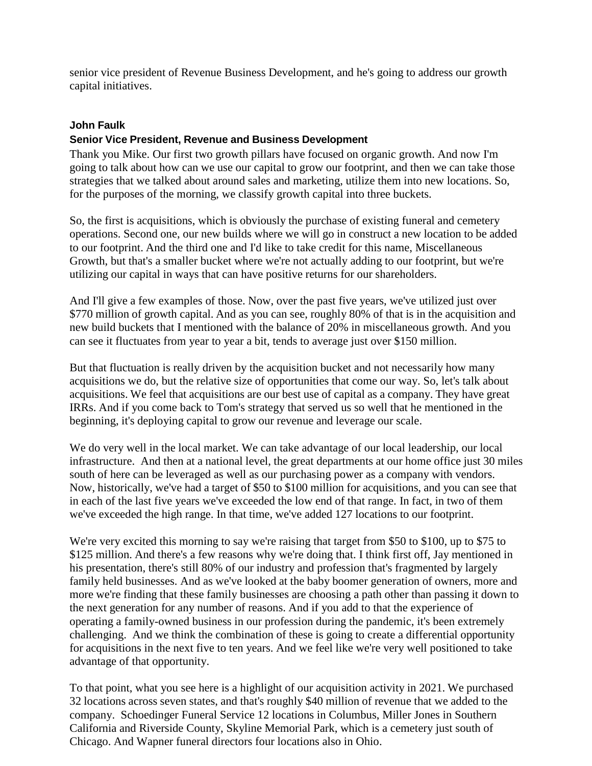senior vice president of Revenue Business Development, and he's going to address our growth capital initiatives.

## **John Faulk Senior Vice President, Revenue and Business Development**

Thank you Mike. Our first two growth pillars have focused on organic growth. And now I'm going to talk about how can we use our capital to grow our footprint, and then we can take those strategies that we talked about around sales and marketing, utilize them into new locations. So, for the purposes of the morning, we classify growth capital into three buckets.

So, the first is acquisitions, which is obviously the purchase of existing funeral and cemetery operations. Second one, our new builds where we will go in construct a new location to be added to our footprint. And the third one and I'd like to take credit for this name, Miscellaneous Growth, but that's a smaller bucket where we're not actually adding to our footprint, but we're utilizing our capital in ways that can have positive returns for our shareholders.

And I'll give a few examples of those. Now, over the past five years, we've utilized just over \$770 million of growth capital. And as you can see, roughly 80% of that is in the acquisition and new build buckets that I mentioned with the balance of 20% in miscellaneous growth. And you can see it fluctuates from year to year a bit, tends to average just over \$150 million.

But that fluctuation is really driven by the acquisition bucket and not necessarily how many acquisitions we do, but the relative size of opportunities that come our way. So, let's talk about acquisitions. We feel that acquisitions are our best use of capital as a company. They have great IRRs. And if you come back to Tom's strategy that served us so well that he mentioned in the beginning, it's deploying capital to grow our revenue and leverage our scale.

We do very well in the local market. We can take advantage of our local leadership, our local infrastructure. And then at a national level, the great departments at our home office just 30 miles south of here can be leveraged as well as our purchasing power as a company with vendors. Now, historically, we've had a target of \$50 to \$100 million for acquisitions, and you can see that in each of the last five years we've exceeded the low end of that range. In fact, in two of them we've exceeded the high range. In that time, we've added 127 locations to our footprint.

We're very excited this morning to say we're raising that target from \$50 to \$100, up to \$75 to \$125 million. And there's a few reasons why we're doing that. I think first off, Jay mentioned in his presentation, there's still 80% of our industry and profession that's fragmented by largely family held businesses. And as we've looked at the baby boomer generation of owners, more and more we're finding that these family businesses are choosing a path other than passing it down to the next generation for any number of reasons. And if you add to that the experience of operating a family-owned business in our profession during the pandemic, it's been extremely challenging. And we think the combination of these is going to create a differential opportunity for acquisitions in the next five to ten years. And we feel like we're very well positioned to take advantage of that opportunity.

To that point, what you see here is a highlight of our acquisition activity in 2021. We purchased 32 locations across seven states, and that's roughly \$40 million of revenue that we added to the company. Schoedinger Funeral Service 12 locations in Columbus, Miller Jones in Southern California and Riverside County, Skyline Memorial Park, which is a cemetery just south of Chicago. And Wapner funeral directors four locations also in Ohio.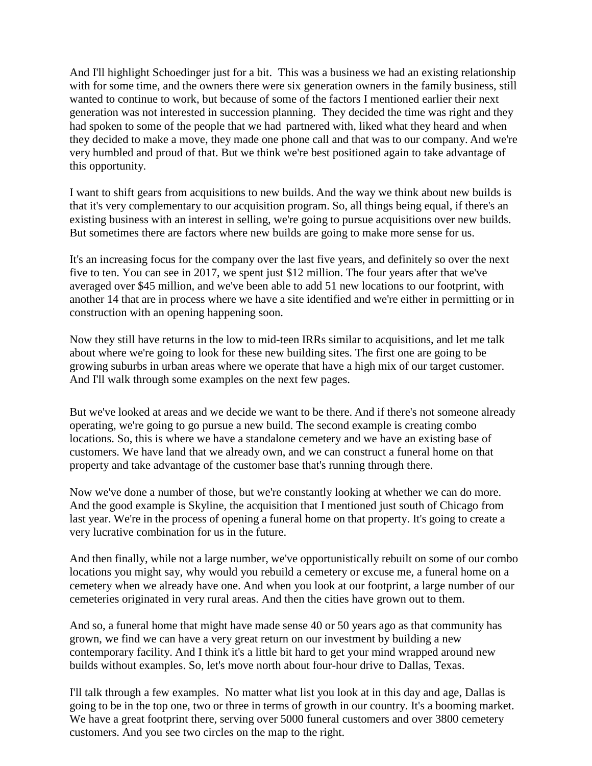And I'll highlight Schoedinger just for a bit. This was a business we had an existing relationship with for some time, and the owners there were six generation owners in the family business, still wanted to continue to work, but because of some of the factors I mentioned earlier their next generation was not interested in succession planning. They decided the time was right and they had spoken to some of the people that we had partnered with, liked what they heard and when they decided to make a move, they made one phone call and that was to our company. And we're very humbled and proud of that. But we think we're best positioned again to take advantage of this opportunity.

I want to shift gears from acquisitions to new builds. And the way we think about new builds is that it's very complementary to our acquisition program. So, all things being equal, if there's an existing business with an interest in selling, we're going to pursue acquisitions over new builds. But sometimes there are factors where new builds are going to make more sense for us.

It's an increasing focus for the company over the last five years, and definitely so over the next five to ten. You can see in 2017, we spent just \$12 million. The four years after that we've averaged over \$45 million, and we've been able to add 51 new locations to our footprint, with another 14 that are in process where we have a site identified and we're either in permitting or in construction with an opening happening soon.

Now they still have returns in the low to mid-teen IRRs similar to acquisitions, and let me talk about where we're going to look for these new building sites. The first one are going to be growing suburbs in urban areas where we operate that have a high mix of our target customer. And I'll walk through some examples on the next few pages.

But we've looked at areas and we decide we want to be there. And if there's not someone already operating, we're going to go pursue a new build. The second example is creating combo locations. So, this is where we have a standalone cemetery and we have an existing base of customers. We have land that we already own, and we can construct a funeral home on that property and take advantage of the customer base that's running through there.

Now we've done a number of those, but we're constantly looking at whether we can do more. And the good example is Skyline, the acquisition that I mentioned just south of Chicago from last year. We're in the process of opening a funeral home on that property. It's going to create a very lucrative combination for us in the future.

And then finally, while not a large number, we've opportunistically rebuilt on some of our combo locations you might say, why would you rebuild a cemetery or excuse me, a funeral home on a cemetery when we already have one. And when you look at our footprint, a large number of our cemeteries originated in very rural areas. And then the cities have grown out to them.

And so, a funeral home that might have made sense 40 or 50 years ago as that community has grown, we find we can have a very great return on our investment by building a new contemporary facility. And I think it's a little bit hard to get your mind wrapped around new builds without examples. So, let's move north about four-hour drive to Dallas, Texas.

I'll talk through a few examples. No matter what list you look at in this day and age, Dallas is going to be in the top one, two or three in terms of growth in our country. It's a booming market. We have a great footprint there, serving over 5000 funeral customers and over 3800 cemetery customers. And you see two circles on the map to the right.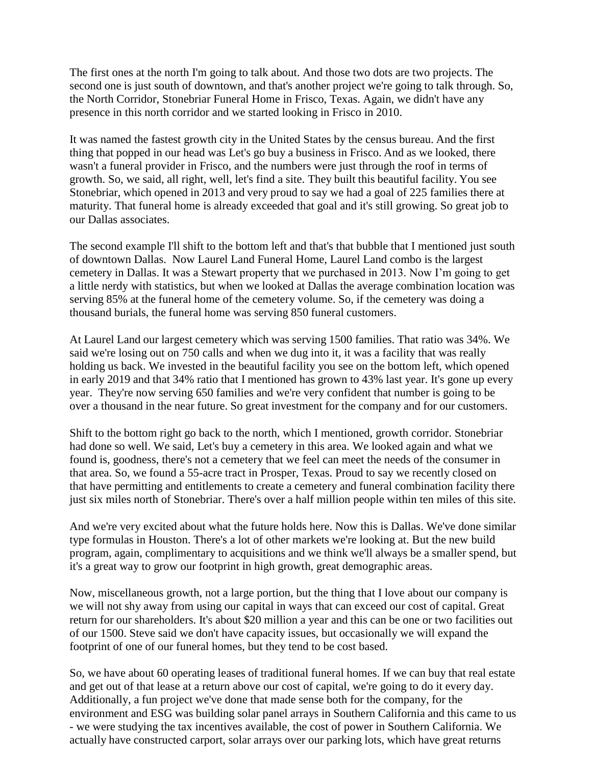The first ones at the north I'm going to talk about. And those two dots are two projects. The second one is just south of downtown, and that's another project we're going to talk through. So, the North Corridor, Stonebriar Funeral Home in Frisco, Texas. Again, we didn't have any presence in this north corridor and we started looking in Frisco in 2010.

It was named the fastest growth city in the United States by the census bureau. And the first thing that popped in our head was Let's go buy a business in Frisco. And as we looked, there wasn't a funeral provider in Frisco, and the numbers were just through the roof in terms of growth. So, we said, all right, well, let's find a site. They built this beautiful facility. You see Stonebriar, which opened in 2013 and very proud to say we had a goal of 225 families there at maturity. That funeral home is already exceeded that goal and it's still growing. So great job to our Dallas associates.

The second example I'll shift to the bottom left and that's that bubble that I mentioned just south of downtown Dallas. Now Laurel Land Funeral Home, Laurel Land combo is the largest cemetery in Dallas. It was a Stewart property that we purchased in 2013. Now I'm going to get a little nerdy with statistics, but when we looked at Dallas the average combination location was serving 85% at the funeral home of the cemetery volume. So, if the cemetery was doing a thousand burials, the funeral home was serving 850 funeral customers.

At Laurel Land our largest cemetery which was serving 1500 families. That ratio was 34%. We said we're losing out on 750 calls and when we dug into it, it was a facility that was really holding us back. We invested in the beautiful facility you see on the bottom left, which opened in early 2019 and that 34% ratio that I mentioned has grown to 43% last year. It's gone up every year. They're now serving 650 families and we're very confident that number is going to be over a thousand in the near future. So great investment for the company and for our customers.

Shift to the bottom right go back to the north, which I mentioned, growth corridor. Stonebriar had done so well. We said, Let's buy a cemetery in this area. We looked again and what we found is, goodness, there's not a cemetery that we feel can meet the needs of the consumer in that area. So, we found a 55-acre tract in Prosper, Texas. Proud to say we recently closed on that have permitting and entitlements to create a cemetery and funeral combination facility there just six miles north of Stonebriar. There's over a half million people within ten miles of this site.

And we're very excited about what the future holds here. Now this is Dallas. We've done similar type formulas in Houston. There's a lot of other markets we're looking at. But the new build program, again, complimentary to acquisitions and we think we'll always be a smaller spend, but it's a great way to grow our footprint in high growth, great demographic areas.

Now, miscellaneous growth, not a large portion, but the thing that I love about our company is we will not shy away from using our capital in ways that can exceed our cost of capital. Great return for our shareholders. It's about \$20 million a year and this can be one or two facilities out of our 1500. Steve said we don't have capacity issues, but occasionally we will expand the footprint of one of our funeral homes, but they tend to be cost based.

So, we have about 60 operating leases of traditional funeral homes. If we can buy that real estate and get out of that lease at a return above our cost of capital, we're going to do it every day. Additionally, a fun project we've done that made sense both for the company, for the environment and ESG was building solar panel arrays in Southern California and this came to us - we were studying the tax incentives available, the cost of power in Southern California. We actually have constructed carport, solar arrays over our parking lots, which have great returns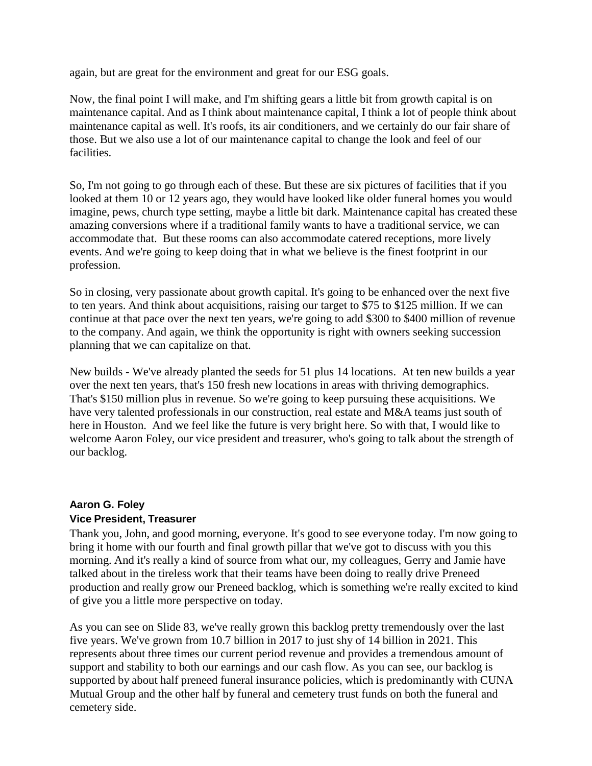again, but are great for the environment and great for our ESG goals.

Now, the final point I will make, and I'm shifting gears a little bit from growth capital is on maintenance capital. And as I think about maintenance capital, I think a lot of people think about maintenance capital as well. It's roofs, its air conditioners, and we certainly do our fair share of those. But we also use a lot of our maintenance capital to change the look and feel of our facilities.

So, I'm not going to go through each of these. But these are six pictures of facilities that if you looked at them 10 or 12 years ago, they would have looked like older funeral homes you would imagine, pews, church type setting, maybe a little bit dark. Maintenance capital has created these amazing conversions where if a traditional family wants to have a traditional service, we can accommodate that. But these rooms can also accommodate catered receptions, more lively events. And we're going to keep doing that in what we believe is the finest footprint in our profession.

So in closing, very passionate about growth capital. It's going to be enhanced over the next five to ten years. And think about acquisitions, raising our target to \$75 to \$125 million. If we can continue at that pace over the next ten years, we're going to add \$300 to \$400 million of revenue to the company. And again, we think the opportunity is right with owners seeking succession planning that we can capitalize on that.

New builds - We've already planted the seeds for 51 plus 14 locations. At ten new builds a year over the next ten years, that's 150 fresh new locations in areas with thriving demographics. That's \$150 million plus in revenue. So we're going to keep pursuing these acquisitions. We have very talented professionals in our construction, real estate and M&A teams just south of here in Houston. And we feel like the future is very bright here. So with that, I would like to welcome Aaron Foley, our vice president and treasurer, who's going to talk about the strength of our backlog.

## **Aaron G. Foley Vice President, Treasurer**

Thank you, John, and good morning, everyone. It's good to see everyone today. I'm now going to bring it home with our fourth and final growth pillar that we've got to discuss with you this morning. And it's really a kind of source from what our, my colleagues, Gerry and Jamie have talked about in the tireless work that their teams have been doing to really drive Preneed production and really grow our Preneed backlog, which is something we're really excited to kind of give you a little more perspective on today.

As you can see on Slide 83, we've really grown this backlog pretty tremendously over the last five years. We've grown from 10.7 billion in 2017 to just shy of 14 billion in 2021. This represents about three times our current period revenue and provides a tremendous amount of support and stability to both our earnings and our cash flow. As you can see, our backlog is supported by about half preneed funeral insurance policies, which is predominantly with CUNA Mutual Group and the other half by funeral and cemetery trust funds on both the funeral and cemetery side.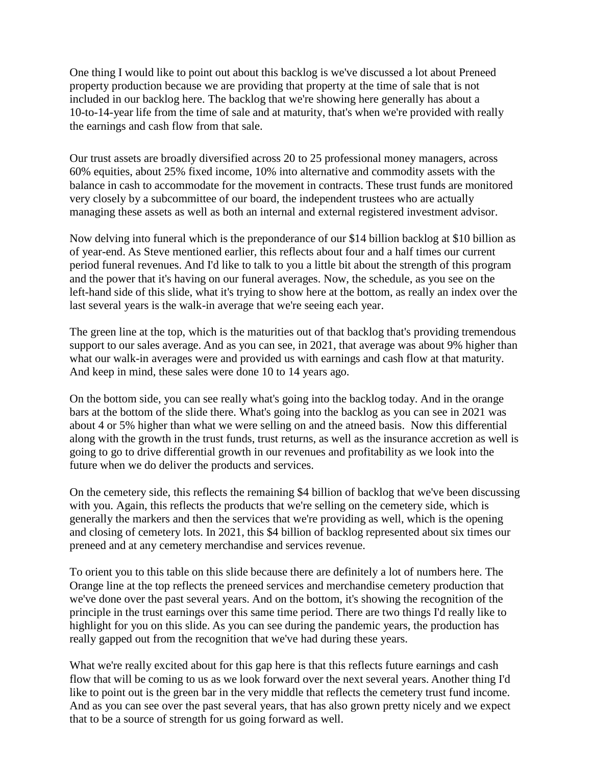One thing I would like to point out about this backlog is we've discussed a lot about Preneed property production because we are providing that property at the time of sale that is not included in our backlog here. The backlog that we're showing here generally has about a 10-to-14-year life from the time of sale and at maturity, that's when we're provided with really the earnings and cash flow from that sale.

Our trust assets are broadly diversified across 20 to 25 professional money managers, across 60% equities, about 25% fixed income, 10% into alternative and commodity assets with the balance in cash to accommodate for the movement in contracts. These trust funds are monitored very closely by a subcommittee of our board, the independent trustees who are actually managing these assets as well as both an internal and external registered investment advisor.

Now delving into funeral which is the preponderance of our \$14 billion backlog at \$10 billion as of year-end. As Steve mentioned earlier, this reflects about four and a half times our current period funeral revenues. And I'd like to talk to you a little bit about the strength of this program and the power that it's having on our funeral averages. Now, the schedule, as you see on the left-hand side of this slide, what it's trying to show here at the bottom, as really an index over the last several years is the walk-in average that we're seeing each year.

The green line at the top, which is the maturities out of that backlog that's providing tremendous support to our sales average. And as you can see, in 2021, that average was about 9% higher than what our walk-in averages were and provided us with earnings and cash flow at that maturity. And keep in mind, these sales were done 10 to 14 years ago.

On the bottom side, you can see really what's going into the backlog today. And in the orange bars at the bottom of the slide there. What's going into the backlog as you can see in 2021 was about 4 or 5% higher than what we were selling on and the atneed basis. Now this differential along with the growth in the trust funds, trust returns, as well as the insurance accretion as well is going to go to drive differential growth in our revenues and profitability as we look into the future when we do deliver the products and services.

On the cemetery side, this reflects the remaining \$4 billion of backlog that we've been discussing with you. Again, this reflects the products that we're selling on the cemetery side, which is generally the markers and then the services that we're providing as well, which is the opening and closing of cemetery lots. In 2021, this \$4 billion of backlog represented about six times our preneed and at any cemetery merchandise and services revenue.

To orient you to this table on this slide because there are definitely a lot of numbers here. The Orange line at the top reflects the preneed services and merchandise cemetery production that we've done over the past several years. And on the bottom, it's showing the recognition of the principle in the trust earnings over this same time period. There are two things I'd really like to highlight for you on this slide. As you can see during the pandemic years, the production has really gapped out from the recognition that we've had during these years.

What we're really excited about for this gap here is that this reflects future earnings and cash flow that will be coming to us as we look forward over the next several years. Another thing I'd like to point out is the green bar in the very middle that reflects the cemetery trust fund income. And as you can see over the past several years, that has also grown pretty nicely and we expect that to be a source of strength for us going forward as well.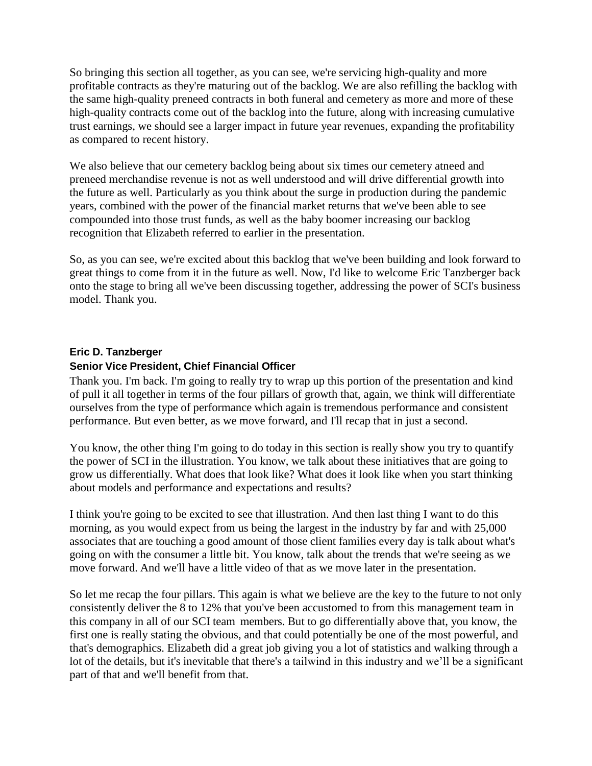So bringing this section all together, as you can see, we're servicing high-quality and more profitable contracts as they're maturing out of the backlog. We are also refilling the backlog with the same high-quality preneed contracts in both funeral and cemetery as more and more of these high-quality contracts come out of the backlog into the future, along with increasing cumulative trust earnings, we should see a larger impact in future year revenues, expanding the profitability as compared to recent history.

We also believe that our cemetery backlog being about six times our cemetery atneed and preneed merchandise revenue is not as well understood and will drive differential growth into the future as well. Particularly as you think about the surge in production during the pandemic years, combined with the power of the financial market returns that we've been able to see compounded into those trust funds, as well as the baby boomer increasing our backlog recognition that Elizabeth referred to earlier in the presentation.

So, as you can see, we're excited about this backlog that we've been building and look forward to great things to come from it in the future as well. Now, I'd like to welcome Eric Tanzberger back onto the stage to bring all we've been discussing together, addressing the power of SCI's business model. Thank you.

#### **Eric D. Tanzberger**

#### **Senior Vice President, Chief Financial Officer**

Thank you. I'm back. I'm going to really try to wrap up this portion of the presentation and kind of pull it all together in terms of the four pillars of growth that, again, we think will differentiate ourselves from the type of performance which again is tremendous performance and consistent performance. But even better, as we move forward, and I'll recap that in just a second.

You know, the other thing I'm going to do today in this section is really show you try to quantify the power of SCI in the illustration. You know, we talk about these initiatives that are going to grow us differentially. What does that look like? What does it look like when you start thinking about models and performance and expectations and results?

I think you're going to be excited to see that illustration. And then last thing I want to do this morning, as you would expect from us being the largest in the industry by far and with 25,000 associates that are touching a good amount of those client families every day is talk about what's going on with the consumer a little bit. You know, talk about the trends that we're seeing as we move forward. And we'll have a little video of that as we move later in the presentation.

So let me recap the four pillars. This again is what we believe are the key to the future to not only consistently deliver the 8 to 12% that you've been accustomed to from this management team in this company in all of our SCI team members. But to go differentially above that, you know, the first one is really stating the obvious, and that could potentially be one of the most powerful, and that's demographics. Elizabeth did a great job giving you a lot of statistics and walking through a lot of the details, but it's inevitable that there's a tailwind in this industry and we'll be a significant part of that and we'll benefit from that.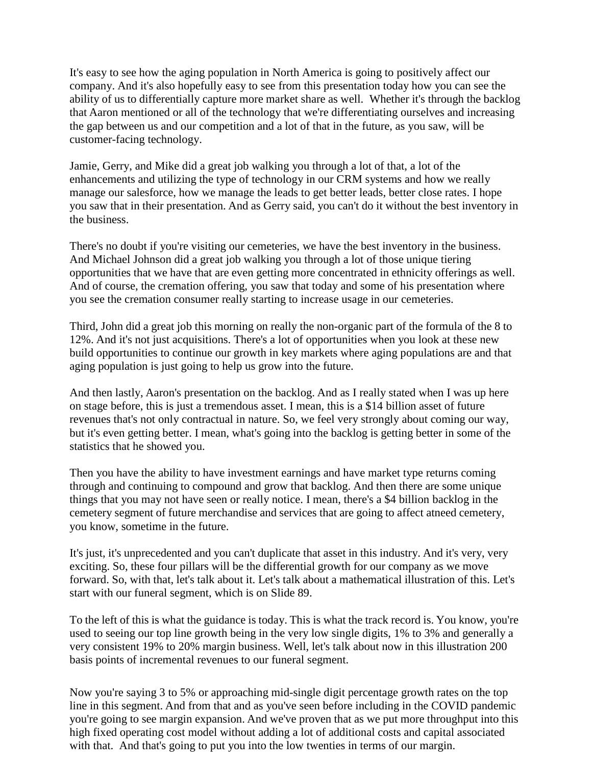It's easy to see how the aging population in North America is going to positively affect our company. And it's also hopefully easy to see from this presentation today how you can see the ability of us to differentially capture more market share as well. Whether it's through the backlog that Aaron mentioned or all of the technology that we're differentiating ourselves and increasing the gap between us and our competition and a lot of that in the future, as you saw, will be customer-facing technology.

Jamie, Gerry, and Mike did a great job walking you through a lot of that, a lot of the enhancements and utilizing the type of technology in our CRM systems and how we really manage our salesforce, how we manage the leads to get better leads, better close rates. I hope you saw that in their presentation. And as Gerry said, you can't do it without the best inventory in the business.

There's no doubt if you're visiting our cemeteries, we have the best inventory in the business. And Michael Johnson did a great job walking you through a lot of those unique tiering opportunities that we have that are even getting more concentrated in ethnicity offerings as well. And of course, the cremation offering, you saw that today and some of his presentation where you see the cremation consumer really starting to increase usage in our cemeteries.

Third, John did a great job this morning on really the non-organic part of the formula of the 8 to 12%. And it's not just acquisitions. There's a lot of opportunities when you look at these new build opportunities to continue our growth in key markets where aging populations are and that aging population is just going to help us grow into the future.

And then lastly, Aaron's presentation on the backlog. And as I really stated when I was up here on stage before, this is just a tremendous asset. I mean, this is a \$14 billion asset of future revenues that's not only contractual in nature. So, we feel very strongly about coming our way, but it's even getting better. I mean, what's going into the backlog is getting better in some of the statistics that he showed you.

Then you have the ability to have investment earnings and have market type returns coming through and continuing to compound and grow that backlog. And then there are some unique things that you may not have seen or really notice. I mean, there's a \$4 billion backlog in the cemetery segment of future merchandise and services that are going to affect atneed cemetery, you know, sometime in the future.

It's just, it's unprecedented and you can't duplicate that asset in this industry. And it's very, very exciting. So, these four pillars will be the differential growth for our company as we move forward. So, with that, let's talk about it. Let's talk about a mathematical illustration of this. Let's start with our funeral segment, which is on Slide 89.

To the left of this is what the guidance is today. This is what the track record is. You know, you're used to seeing our top line growth being in the very low single digits, 1% to 3% and generally a very consistent 19% to 20% margin business. Well, let's talk about now in this illustration 200 basis points of incremental revenues to our funeral segment.

Now you're saying 3 to 5% or approaching mid-single digit percentage growth rates on the top line in this segment. And from that and as you've seen before including in the COVID pandemic you're going to see margin expansion. And we've proven that as we put more throughput into this high fixed operating cost model without adding a lot of additional costs and capital associated with that. And that's going to put you into the low twenties in terms of our margin.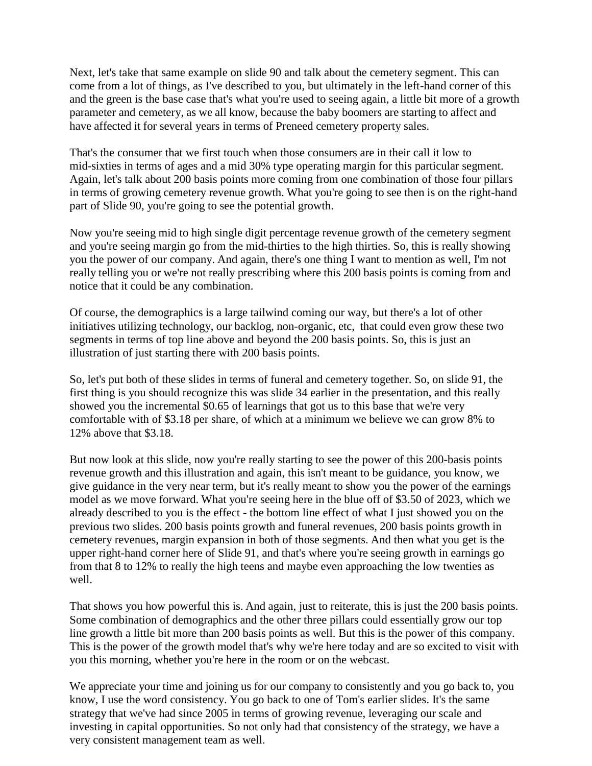Next, let's take that same example on slide 90 and talk about the cemetery segment. This can come from a lot of things, as I've described to you, but ultimately in the left-hand corner of this and the green is the base case that's what you're used to seeing again, a little bit more of a growth parameter and cemetery, as we all know, because the baby boomers are starting to affect and have affected it for several years in terms of Preneed cemetery property sales.

That's the consumer that we first touch when those consumers are in their call it low to mid-sixties in terms of ages and a mid 30% type operating margin for this particular segment. Again, let's talk about 200 basis points more coming from one combination of those four pillars in terms of growing cemetery revenue growth. What you're going to see then is on the right-hand part of Slide 90, you're going to see the potential growth.

Now you're seeing mid to high single digit percentage revenue growth of the cemetery segment and you're seeing margin go from the mid-thirties to the high thirties. So, this is really showing you the power of our company. And again, there's one thing I want to mention as well, I'm not really telling you or we're not really prescribing where this 200 basis points is coming from and notice that it could be any combination.

Of course, the demographics is a large tailwind coming our way, but there's a lot of other initiatives utilizing technology, our backlog, non-organic, etc, that could even grow these two segments in terms of top line above and beyond the 200 basis points. So, this is just an illustration of just starting there with 200 basis points.

So, let's put both of these slides in terms of funeral and cemetery together. So, on slide 91, the first thing is you should recognize this was slide 34 earlier in the presentation, and this really showed you the incremental \$0.65 of learnings that got us to this base that we're very comfortable with of \$3.18 per share, of which at a minimum we believe we can grow 8% to 12% above that \$3.18.

But now look at this slide, now you're really starting to see the power of this 200-basis points revenue growth and this illustration and again, this isn't meant to be guidance, you know, we give guidance in the very near term, but it's really meant to show you the power of the earnings model as we move forward. What you're seeing here in the blue off of \$3.50 of 2023, which we already described to you is the effect - the bottom line effect of what I just showed you on the previous two slides. 200 basis points growth and funeral revenues, 200 basis points growth in cemetery revenues, margin expansion in both of those segments. And then what you get is the upper right-hand corner here of Slide 91, and that's where you're seeing growth in earnings go from that 8 to 12% to really the high teens and maybe even approaching the low twenties as well.

That shows you how powerful this is. And again, just to reiterate, this is just the 200 basis points. Some combination of demographics and the other three pillars could essentially grow our top line growth a little bit more than 200 basis points as well. But this is the power of this company. This is the power of the growth model that's why we're here today and are so excited to visit with you this morning, whether you're here in the room or on the webcast.

We appreciate your time and joining us for our company to consistently and you go back to, you know, I use the word consistency. You go back to one of Tom's earlier slides. It's the same strategy that we've had since 2005 in terms of growing revenue, leveraging our scale and investing in capital opportunities. So not only had that consistency of the strategy, we have a very consistent management team as well.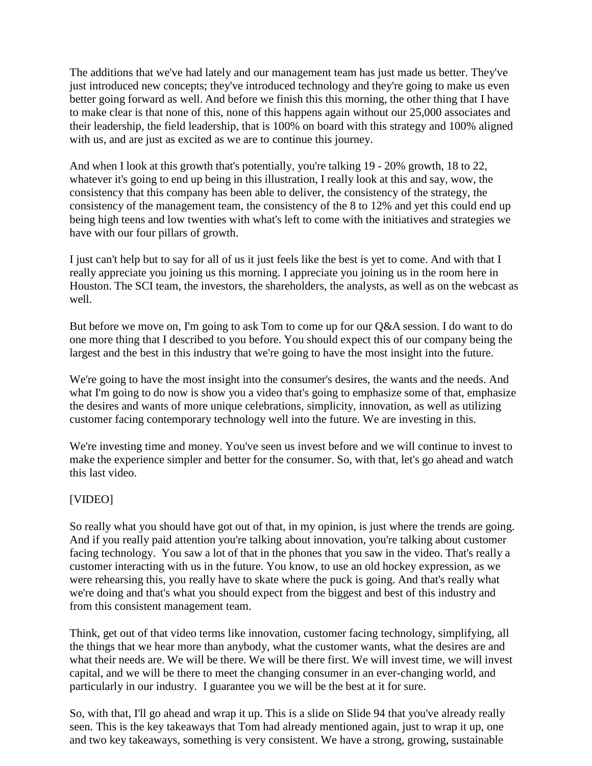The additions that we've had lately and our management team has just made us better. They've just introduced new concepts; they've introduced technology and they're going to make us even better going forward as well. And before we finish this this morning, the other thing that I have to make clear is that none of this, none of this happens again without our 25,000 associates and their leadership, the field leadership, that is 100% on board with this strategy and 100% aligned with us, and are just as excited as we are to continue this journey.

And when I look at this growth that's potentially, you're talking 19 - 20% growth, 18 to 22, whatever it's going to end up being in this illustration, I really look at this and say, wow, the consistency that this company has been able to deliver, the consistency of the strategy, the consistency of the management team, the consistency of the 8 to 12% and yet this could end up being high teens and low twenties with what's left to come with the initiatives and strategies we have with our four pillars of growth.

I just can't help but to say for all of us it just feels like the best is yet to come. And with that I really appreciate you joining us this morning. I appreciate you joining us in the room here in Houston. The SCI team, the investors, the shareholders, the analysts, as well as on the webcast as well.

But before we move on, I'm going to ask Tom to come up for our Q&A session. I do want to do one more thing that I described to you before. You should expect this of our company being the largest and the best in this industry that we're going to have the most insight into the future.

We're going to have the most insight into the consumer's desires, the wants and the needs. And what I'm going to do now is show you a video that's going to emphasize some of that, emphasize the desires and wants of more unique celebrations, simplicity, innovation, as well as utilizing customer facing contemporary technology well into the future. We are investing in this.

We're investing time and money. You've seen us invest before and we will continue to invest to make the experience simpler and better for the consumer. So, with that, let's go ahead and watch this last video.

## [VIDEO]

So really what you should have got out of that, in my opinion, is just where the trends are going. And if you really paid attention you're talking about innovation, you're talking about customer facing technology. You saw a lot of that in the phones that you saw in the video. That's really a customer interacting with us in the future. You know, to use an old hockey expression, as we were rehearsing this, you really have to skate where the puck is going. And that's really what we're doing and that's what you should expect from the biggest and best of this industry and from this consistent management team.

Think, get out of that video terms like innovation, customer facing technology, simplifying, all the things that we hear more than anybody, what the customer wants, what the desires are and what their needs are. We will be there. We will be there first. We will invest time, we will invest capital, and we will be there to meet the changing consumer in an ever-changing world, and particularly in our industry. I guarantee you we will be the best at it for sure.

So, with that, I'll go ahead and wrap it up. This is a slide on Slide 94 that you've already really seen. This is the key takeaways that Tom had already mentioned again, just to wrap it up, one and two key takeaways, something is very consistent. We have a strong, growing, sustainable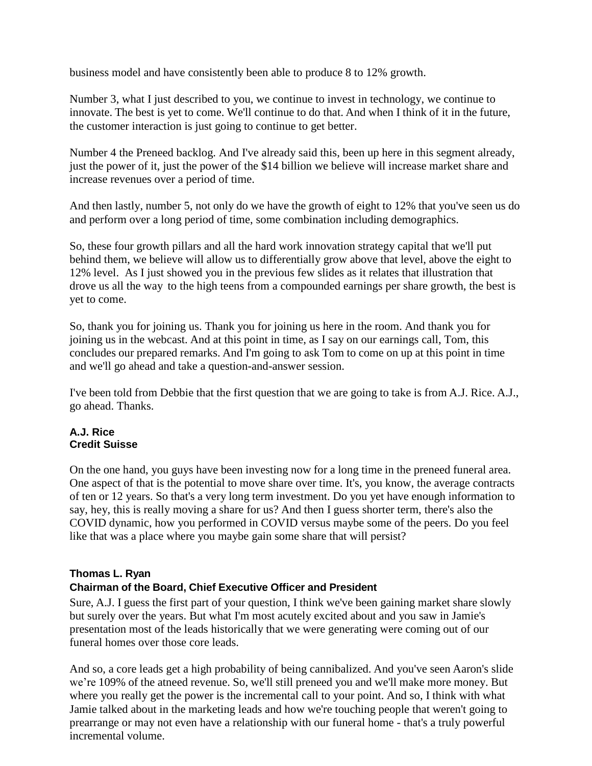business model and have consistently been able to produce 8 to 12% growth.

Number 3, what I just described to you, we continue to invest in technology, we continue to innovate. The best is yet to come. We'll continue to do that. And when I think of it in the future, the customer interaction is just going to continue to get better.

Number 4 the Preneed backlog. And I've already said this, been up here in this segment already, just the power of it, just the power of the \$14 billion we believe will increase market share and increase revenues over a period of time.

And then lastly, number 5, not only do we have the growth of eight to 12% that you've seen us do and perform over a long period of time, some combination including demographics.

So, these four growth pillars and all the hard work innovation strategy capital that we'll put behind them, we believe will allow us to differentially grow above that level, above the eight to 12% level. As I just showed you in the previous few slides as it relates that illustration that drove us all the way to the high teens from a compounded earnings per share growth, the best is yet to come.

So, thank you for joining us. Thank you for joining us here in the room. And thank you for joining us in the webcast. And at this point in time, as I say on our earnings call, Tom, this concludes our prepared remarks. And I'm going to ask Tom to come on up at this point in time and we'll go ahead and take a question-and-answer session.

I've been told from Debbie that the first question that we are going to take is from A.J. Rice. A.J., go ahead. Thanks.

#### **A.J. Rice Credit Suisse**

On the one hand, you guys have been investing now for a long time in the preneed funeral area. One aspect of that is the potential to move share over time. It's, you know, the average contracts of ten or 12 years. So that's a very long term investment. Do you yet have enough information to say, hey, this is really moving a share for us? And then I guess shorter term, there's also the COVID dynamic, how you performed in COVID versus maybe some of the peers. Do you feel like that was a place where you maybe gain some share that will persist?

# **Thomas L. Ryan**

## **Chairman of the Board, Chief Executive Officer and President**

Sure, A.J. I guess the first part of your question, I think we've been gaining market share slowly but surely over the years. But what I'm most acutely excited about and you saw in Jamie's presentation most of the leads historically that we were generating were coming out of our funeral homes over those core leads.

And so, a core leads get a high probability of being cannibalized. And you've seen Aaron's slide we're 109% of the atneed revenue. So, we'll still preneed you and we'll make more money. But where you really get the power is the incremental call to your point. And so, I think with what Jamie talked about in the marketing leads and how we're touching people that weren't going to prearrange or may not even have a relationship with our funeral home - that's a truly powerful incremental volume.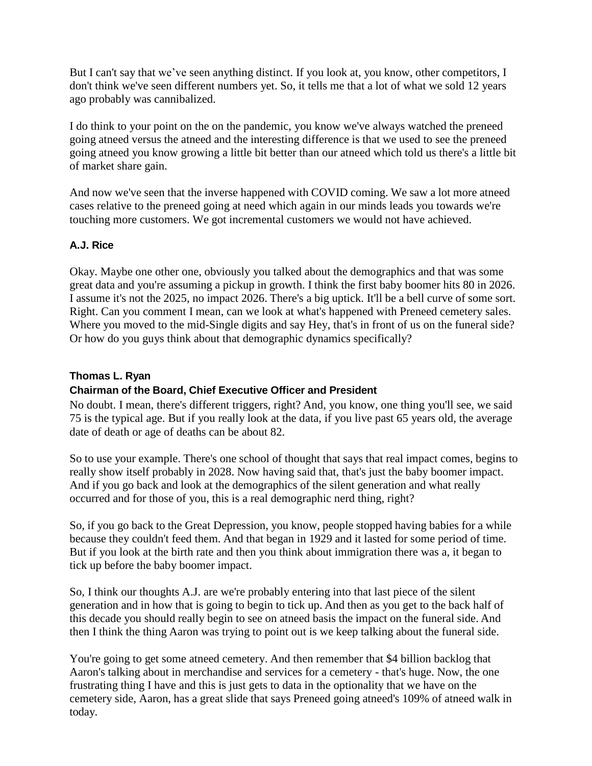But I can't say that we've seen anything distinct. If you look at, you know, other competitors, I don't think we've seen different numbers yet. So, it tells me that a lot of what we sold 12 years ago probably was cannibalized.

I do think to your point on the on the pandemic, you know we've always watched the preneed going atneed versus the atneed and the interesting difference is that we used to see the preneed going atneed you know growing a little bit better than our atneed which told us there's a little bit of market share gain.

And now we've seen that the inverse happened with COVID coming. We saw a lot more atneed cases relative to the preneed going at need which again in our minds leads you towards we're touching more customers. We got incremental customers we would not have achieved.

## **A.J. Rice**

Okay. Maybe one other one, obviously you talked about the demographics and that was some great data and you're assuming a pickup in growth. I think the first baby boomer hits 80 in 2026. I assume it's not the 2025, no impact 2026. There's a big uptick. It'll be a bell curve of some sort. Right. Can you comment I mean, can we look at what's happened with Preneed cemetery sales. Where you moved to the mid-Single digits and say Hey, that's in front of us on the funeral side? Or how do you guys think about that demographic dynamics specifically?

#### **Thomas L. Ryan**

#### **Chairman of the Board, Chief Executive Officer and President**

No doubt. I mean, there's different triggers, right? And, you know, one thing you'll see, we said 75 is the typical age. But if you really look at the data, if you live past 65 years old, the average date of death or age of deaths can be about 82.

So to use your example. There's one school of thought that says that real impact comes, begins to really show itself probably in 2028. Now having said that, that's just the baby boomer impact. And if you go back and look at the demographics of the silent generation and what really occurred and for those of you, this is a real demographic nerd thing, right?

So, if you go back to the Great Depression, you know, people stopped having babies for a while because they couldn't feed them. And that began in 1929 and it lasted for some period of time. But if you look at the birth rate and then you think about immigration there was a, it began to tick up before the baby boomer impact.

So, I think our thoughts A.J. are we're probably entering into that last piece of the silent generation and in how that is going to begin to tick up. And then as you get to the back half of this decade you should really begin to see on atneed basis the impact on the funeral side. And then I think the thing Aaron was trying to point out is we keep talking about the funeral side.

You're going to get some atneed cemetery. And then remember that \$4 billion backlog that Aaron's talking about in merchandise and services for a cemetery - that's huge. Now, the one frustrating thing I have and this is just gets to data in the optionality that we have on the cemetery side, Aaron, has a great slide that says Preneed going atneed's 109% of atneed walk in today.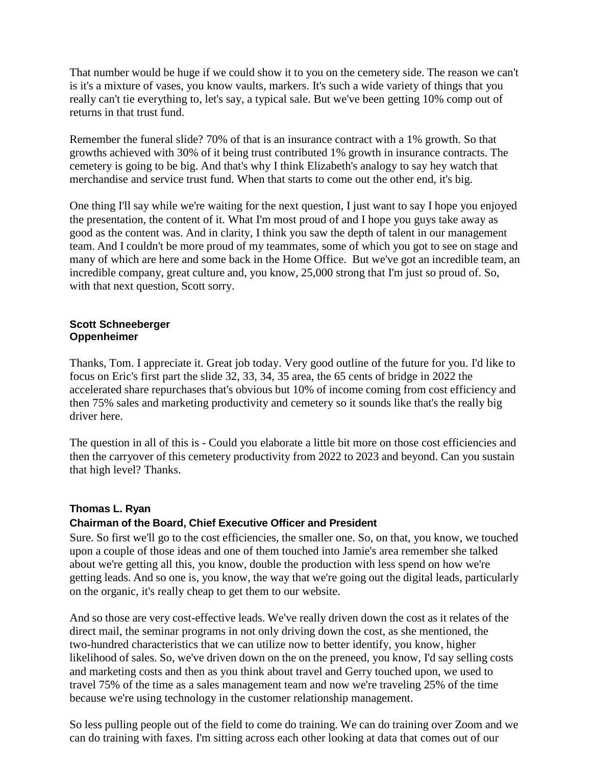That number would be huge if we could show it to you on the cemetery side. The reason we can't is it's a mixture of vases, you know vaults, markers. It's such a wide variety of things that you really can't tie everything to, let's say, a typical sale. But we've been getting 10% comp out of returns in that trust fund.

Remember the funeral slide? 70% of that is an insurance contract with a 1% growth. So that growths achieved with 30% of it being trust contributed 1% growth in insurance contracts. The cemetery is going to be big. And that's why I think Elizabeth's analogy to say hey watch that merchandise and service trust fund. When that starts to come out the other end, it's big.

One thing I'll say while we're waiting for the next question, I just want to say I hope you enjoyed the presentation, the content of it. What I'm most proud of and I hope you guys take away as good as the content was. And in clarity, I think you saw the depth of talent in our management team. And I couldn't be more proud of my teammates, some of which you got to see on stage and many of which are here and some back in the Home Office. But we've got an incredible team, an incredible company, great culture and, you know, 25,000 strong that I'm just so proud of. So, with that next question, Scott sorry.

#### **Scott Schneeberger Oppenheimer**

Thanks, Tom. I appreciate it. Great job today. Very good outline of the future for you. I'd like to focus on Eric's first part the slide 32, 33, 34, 35 area, the 65 cents of bridge in 2022 the accelerated share repurchases that's obvious but 10% of income coming from cost efficiency and then 75% sales and marketing productivity and cemetery so it sounds like that's the really big driver here.

The question in all of this is - Could you elaborate a little bit more on those cost efficiencies and then the carryover of this cemetery productivity from 2022 to 2023 and beyond. Can you sustain that high level? Thanks.

## **Thomas L. Ryan**

#### **Chairman of the Board, Chief Executive Officer and President**

Sure. So first we'll go to the cost efficiencies, the smaller one. So, on that, you know, we touched upon a couple of those ideas and one of them touched into Jamie's area remember she talked about we're getting all this, you know, double the production with less spend on how we're getting leads. And so one is, you know, the way that we're going out the digital leads, particularly on the organic, it's really cheap to get them to our website.

And so those are very cost-effective leads. We've really driven down the cost as it relates of the direct mail, the seminar programs in not only driving down the cost, as she mentioned, the two-hundred characteristics that we can utilize now to better identify, you know, higher likelihood of sales. So, we've driven down on the on the preneed, you know, I'd say selling costs and marketing costs and then as you think about travel and Gerry touched upon, we used to travel 75% of the time as a sales management team and now we're traveling 25% of the time because we're using technology in the customer relationship management.

So less pulling people out of the field to come do training. We can do training over Zoom and we can do training with faxes. I'm sitting across each other looking at data that comes out of our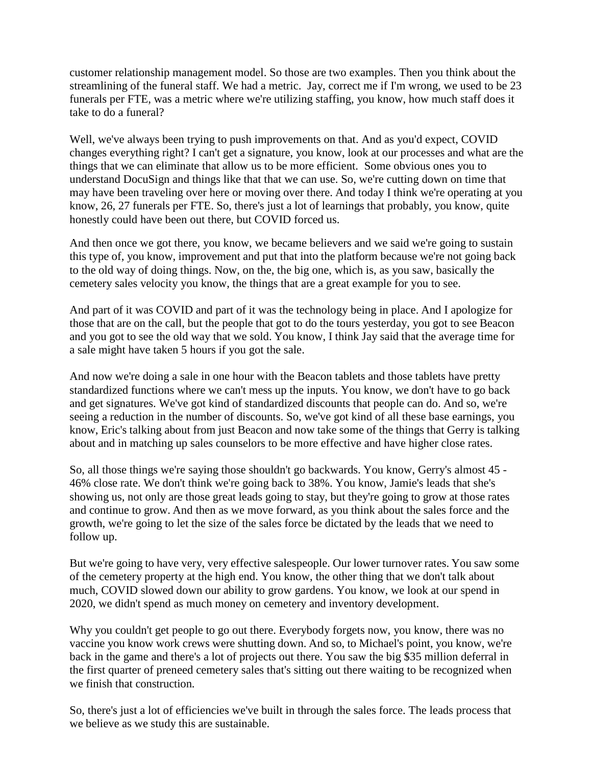customer relationship management model. So those are two examples. Then you think about the streamlining of the funeral staff. We had a metric. Jay, correct me if I'm wrong, we used to be 23 funerals per FTE, was a metric where we're utilizing staffing, you know, how much staff does it take to do a funeral?

Well, we've always been trying to push improvements on that. And as you'd expect, COVID changes everything right? I can't get a signature, you know, look at our processes and what are the things that we can eliminate that allow us to be more efficient. Some obvious ones you to understand DocuSign and things like that that we can use. So, we're cutting down on time that may have been traveling over here or moving over there. And today I think we're operating at you know, 26, 27 funerals per FTE. So, there's just a lot of learnings that probably, you know, quite honestly could have been out there, but COVID forced us.

And then once we got there, you know, we became believers and we said we're going to sustain this type of, you know, improvement and put that into the platform because we're not going back to the old way of doing things. Now, on the, the big one, which is, as you saw, basically the cemetery sales velocity you know, the things that are a great example for you to see.

And part of it was COVID and part of it was the technology being in place. And I apologize for those that are on the call, but the people that got to do the tours yesterday, you got to see Beacon and you got to see the old way that we sold. You know, I think Jay said that the average time for a sale might have taken 5 hours if you got the sale.

And now we're doing a sale in one hour with the Beacon tablets and those tablets have pretty standardized functions where we can't mess up the inputs. You know, we don't have to go back and get signatures. We've got kind of standardized discounts that people can do. And so, we're seeing a reduction in the number of discounts. So, we've got kind of all these base earnings, you know, Eric's talking about from just Beacon and now take some of the things that Gerry is talking about and in matching up sales counselors to be more effective and have higher close rates.

So, all those things we're saying those shouldn't go backwards. You know, Gerry's almost 45 - 46% close rate. We don't think we're going back to 38%. You know, Jamie's leads that she's showing us, not only are those great leads going to stay, but they're going to grow at those rates and continue to grow. And then as we move forward, as you think about the sales force and the growth, we're going to let the size of the sales force be dictated by the leads that we need to follow up.

But we're going to have very, very effective salespeople. Our lower turnover rates. You saw some of the cemetery property at the high end. You know, the other thing that we don't talk about much, COVID slowed down our ability to grow gardens. You know, we look at our spend in 2020, we didn't spend as much money on cemetery and inventory development.

Why you couldn't get people to go out there. Everybody forgets now, you know, there was no vaccine you know work crews were shutting down. And so, to Michael's point, you know, we're back in the game and there's a lot of projects out there. You saw the big \$35 million deferral in the first quarter of preneed cemetery sales that's sitting out there waiting to be recognized when we finish that construction.

So, there's just a lot of efficiencies we've built in through the sales force. The leads process that we believe as we study this are sustainable.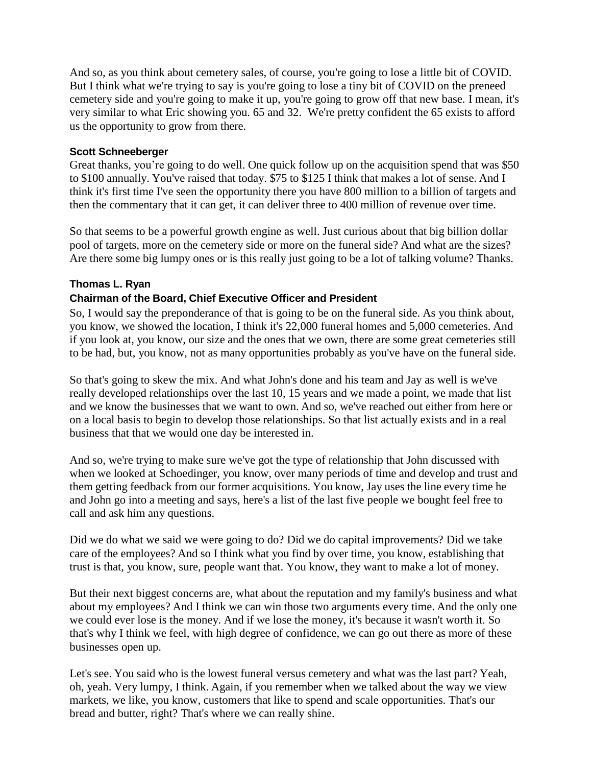And so, as you think about cemetery sales, of course, you're going to lose a little bit of COVID. But I think what we're trying to say is you're going to lose a tiny bit of COVID on the preneed cemetery side and you're going to make it up, you're going to grow off that new base. I mean, it's very similar to what Eric showing you. 65 and 32. We're pretty confident the 65 exists to afford us the opportunity to grow from there.

#### **Scott Schneeberger**

Great thanks, you're going to do well. One quick follow up on the acquisition spend that was \$50 to \$100 annually. You've raised that today. \$75 to \$125 I think that makes a lot of sense. And I think it's first time I've seen the opportunity there you have 800 million to a billion of targets and then the commentary that it can get, it can deliver three to 400 million of revenue over time.

So that seems to be a powerful growth engine as well. Just curious about that big billion dollar pool of targets, more on the cemetery side or more on the funeral side? And what are the sizes? Are there some big lumpy ones or is this really just going to be a lot of talking volume? Thanks.

#### **Thomas L. Ryan**

## **Chairman of the Board, Chief Executive Officer and President**

So, I would say the preponderance of that is going to be on the funeral side. As you think about, you know, we showed the location, I think it's 22,000 funeral homes and 5,000 cemeteries. And if you look at, you know, our size and the ones that we own, there are some great cemeteries still to be had, but, you know, not as many opportunities probably as you've have on the funeral side.

So that's going to skew the mix. And what John's done and his team and Jay as well is we've really developed relationships over the last 10, 15 years and we made a point, we made that list and we know the businesses that we want to own. And so, we've reached out either from here or on a local basis to begin to develop those relationships. So that list actually exists and in a real business that that we would one day be interested in.

And so, we're trying to make sure we've got the type of relationship that John discussed with when we looked at Schoedinger, you know, over many periods of time and develop and trust and them getting feedback from our former acquisitions. You know, Jay uses the line every time he and John go into a meeting and says, here's a list of the last five people we bought feel free to call and ask him any questions.

Did we do what we said we were going to do? Did we do capital improvements? Did we take care of the employees? And so I think what you find by over time, you know, establishing that trust is that, you know, sure, people want that. You know, they want to make a lot of money.

But their next biggest concerns are, what about the reputation and my family's business and what about my employees? And I think we can win those two arguments every time. And the only one we could ever lose is the money. And if we lose the money, it's because it wasn't worth it. So that's why I think we feel, with high degree of confidence, we can go out there as more of these businesses open up.

Let's see. You said who is the lowest funeral versus cemetery and what was the last part? Yeah, oh, yeah. Very lumpy, I think. Again, if you remember when we talked about the way we view markets, we like, you know, customers that like to spend and scale opportunities. That's our bread and butter, right? That's where we can really shine.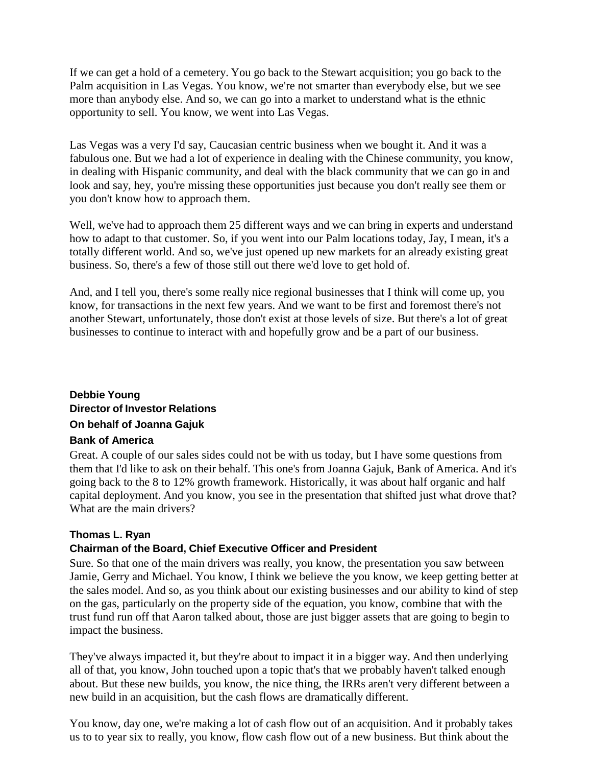If we can get a hold of a cemetery. You go back to the Stewart acquisition; you go back to the Palm acquisition in Las Vegas. You know, we're not smarter than everybody else, but we see more than anybody else. And so, we can go into a market to understand what is the ethnic opportunity to sell. You know, we went into Las Vegas.

Las Vegas was a very I'd say, Caucasian centric business when we bought it. And it was a fabulous one. But we had a lot of experience in dealing with the Chinese community, you know, in dealing with Hispanic community, and deal with the black community that we can go in and look and say, hey, you're missing these opportunities just because you don't really see them or you don't know how to approach them.

Well, we've had to approach them 25 different ways and we can bring in experts and understand how to adapt to that customer. So, if you went into our Palm locations today, Jay, I mean, it's a totally different world. And so, we've just opened up new markets for an already existing great business. So, there's a few of those still out there we'd love to get hold of.

And, and I tell you, there's some really nice regional businesses that I think will come up, you know, for transactions in the next few years. And we want to be first and foremost there's not another Stewart, unfortunately, those don't exist at those levels of size. But there's a lot of great businesses to continue to interact with and hopefully grow and be a part of our business.

# **Debbie Young Director of Investor Relations On behalf of Joanna Gajuk**

#### **Bank of America**

Great. A couple of our sales sides could not be with us today, but I have some questions from them that I'd like to ask on their behalf. This one's from Joanna Gajuk, Bank of America. And it's going back to the 8 to 12% growth framework. Historically, it was about half organic and half capital deployment. And you know, you see in the presentation that shifted just what drove that? What are the main drivers?

## **Thomas L. Ryan**

## **Chairman of the Board, Chief Executive Officer and President**

Sure. So that one of the main drivers was really, you know, the presentation you saw between Jamie, Gerry and Michael. You know, I think we believe the you know, we keep getting better at the sales model. And so, as you think about our existing businesses and our ability to kind of step on the gas, particularly on the property side of the equation, you know, combine that with the trust fund run off that Aaron talked about, those are just bigger assets that are going to begin to impact the business.

They've always impacted it, but they're about to impact it in a bigger way. And then underlying all of that, you know, John touched upon a topic that's that we probably haven't talked enough about. But these new builds, you know, the nice thing, the IRRs aren't very different between a new build in an acquisition, but the cash flows are dramatically different.

You know, day one, we're making a lot of cash flow out of an acquisition. And it probably takes us to to year six to really, you know, flow cash flow out of a new business. But think about the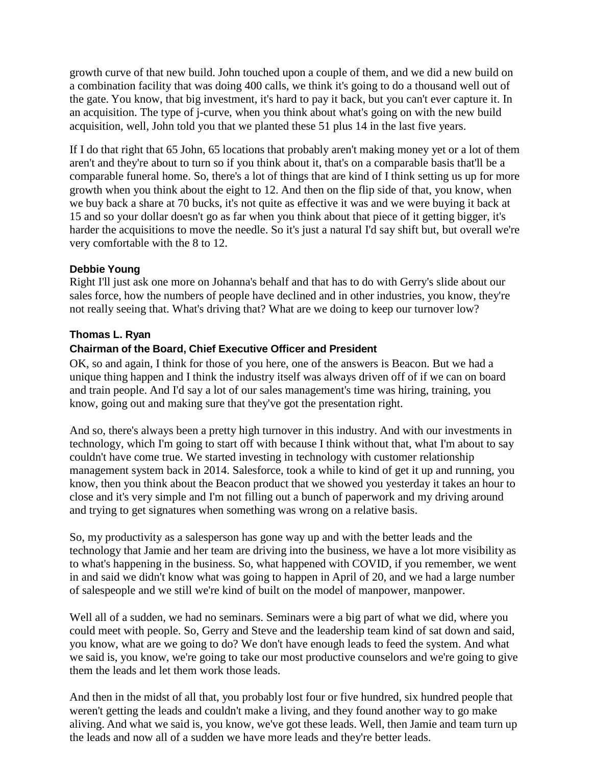growth curve of that new build. John touched upon a couple of them, and we did a new build on a combination facility that was doing 400 calls, we think it's going to do a thousand well out of the gate. You know, that big investment, it's hard to pay it back, but you can't ever capture it. In an acquisition. The type of j-curve, when you think about what's going on with the new build acquisition, well, John told you that we planted these 51 plus 14 in the last five years.

If I do that right that 65 John, 65 locations that probably aren't making money yet or a lot of them aren't and they're about to turn so if you think about it, that's on a comparable basis that'll be a comparable funeral home. So, there's a lot of things that are kind of I think setting us up for more growth when you think about the eight to 12. And then on the flip side of that, you know, when we buy back a share at 70 bucks, it's not quite as effective it was and we were buying it back at 15 and so your dollar doesn't go as far when you think about that piece of it getting bigger, it's harder the acquisitions to move the needle. So it's just a natural I'd say shift but, but overall we're very comfortable with the 8 to 12.

## **Debbie Young**

Right I'll just ask one more on Johanna's behalf and that has to do with Gerry's slide about our sales force, how the numbers of people have declined and in other industries, you know, they're not really seeing that. What's driving that? What are we doing to keep our turnover low?

#### **Thomas L. Ryan**

#### **Chairman of the Board, Chief Executive Officer and President**

OK, so and again, I think for those of you here, one of the answers is Beacon. But we had a unique thing happen and I think the industry itself was always driven off of if we can on board and train people. And I'd say a lot of our sales management's time was hiring, training, you know, going out and making sure that they've got the presentation right.

And so, there's always been a pretty high turnover in this industry. And with our investments in technology, which I'm going to start off with because I think without that, what I'm about to say couldn't have come true. We started investing in technology with customer relationship management system back in 2014. Salesforce, took a while to kind of get it up and running, you know, then you think about the Beacon product that we showed you yesterday it takes an hour to close and it's very simple and I'm not filling out a bunch of paperwork and my driving around and trying to get signatures when something was wrong on a relative basis.

So, my productivity as a salesperson has gone way up and with the better leads and the technology that Jamie and her team are driving into the business, we have a lot more visibility as to what's happening in the business. So, what happened with COVID, if you remember, we went in and said we didn't know what was going to happen in April of 20, and we had a large number of salespeople and we still we're kind of built on the model of manpower, manpower.

Well all of a sudden, we had no seminars. Seminars were a big part of what we did, where you could meet with people. So, Gerry and Steve and the leadership team kind of sat down and said, you know, what are we going to do? We don't have enough leads to feed the system. And what we said is, you know, we're going to take our most productive counselors and we're going to give them the leads and let them work those leads.

And then in the midst of all that, you probably lost four or five hundred, six hundred people that weren't getting the leads and couldn't make a living, and they found another way to go make aliving. And what we said is, you know, we've got these leads. Well, then Jamie and team turn up the leads and now all of a sudden we have more leads and they're better leads.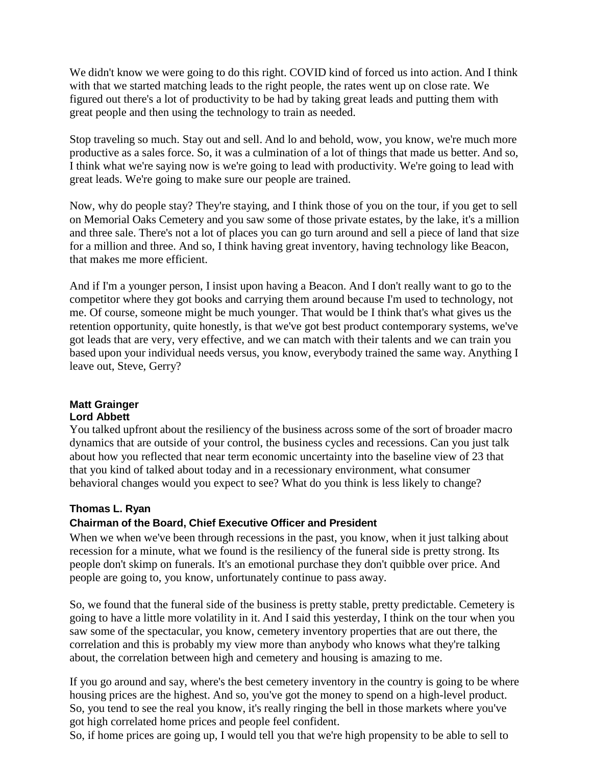We didn't know we were going to do this right. COVID kind of forced us into action. And I think with that we started matching leads to the right people, the rates went up on close rate. We figured out there's a lot of productivity to be had by taking great leads and putting them with great people and then using the technology to train as needed.

Stop traveling so much. Stay out and sell. And lo and behold, wow, you know, we're much more productive as a sales force. So, it was a culmination of a lot of things that made us better. And so, I think what we're saying now is we're going to lead with productivity. We're going to lead with great leads. We're going to make sure our people are trained.

Now, why do people stay? They're staying, and I think those of you on the tour, if you get to sell on Memorial Oaks Cemetery and you saw some of those private estates, by the lake, it's a million and three sale. There's not a lot of places you can go turn around and sell a piece of land that size for a million and three. And so, I think having great inventory, having technology like Beacon, that makes me more efficient.

And if I'm a younger person, I insist upon having a Beacon. And I don't really want to go to the competitor where they got books and carrying them around because I'm used to technology, not me. Of course, someone might be much younger. That would be I think that's what gives us the retention opportunity, quite honestly, is that we've got best product contemporary systems, we've got leads that are very, very effective, and we can match with their talents and we can train you based upon your individual needs versus, you know, everybody trained the same way. Anything I leave out, Steve, Gerry?

#### **Matt Grainger Lord Abbett**

You talked upfront about the resiliency of the business across some of the sort of broader macro dynamics that are outside of your control, the business cycles and recessions. Can you just talk about how you reflected that near term economic uncertainty into the baseline view of 23 that that you kind of talked about today and in a recessionary environment, what consumer behavioral changes would you expect to see? What do you think is less likely to change?

## **Thomas L. Ryan**

## **Chairman of the Board, Chief Executive Officer and President**

When we when we've been through recessions in the past, you know, when it just talking about recession for a minute, what we found is the resiliency of the funeral side is pretty strong. Its people don't skimp on funerals. It's an emotional purchase they don't quibble over price. And people are going to, you know, unfortunately continue to pass away.

So, we found that the funeral side of the business is pretty stable, pretty predictable. Cemetery is going to have a little more volatility in it. And I said this yesterday, I think on the tour when you saw some of the spectacular, you know, cemetery inventory properties that are out there, the correlation and this is probably my view more than anybody who knows what they're talking about, the correlation between high and cemetery and housing is amazing to me.

If you go around and say, where's the best cemetery inventory in the country is going to be where housing prices are the highest. And so, you've got the money to spend on a high-level product. So, you tend to see the real you know, it's really ringing the bell in those markets where you've got high correlated home prices and people feel confident.

So, if home prices are going up, I would tell you that we're high propensity to be able to sell to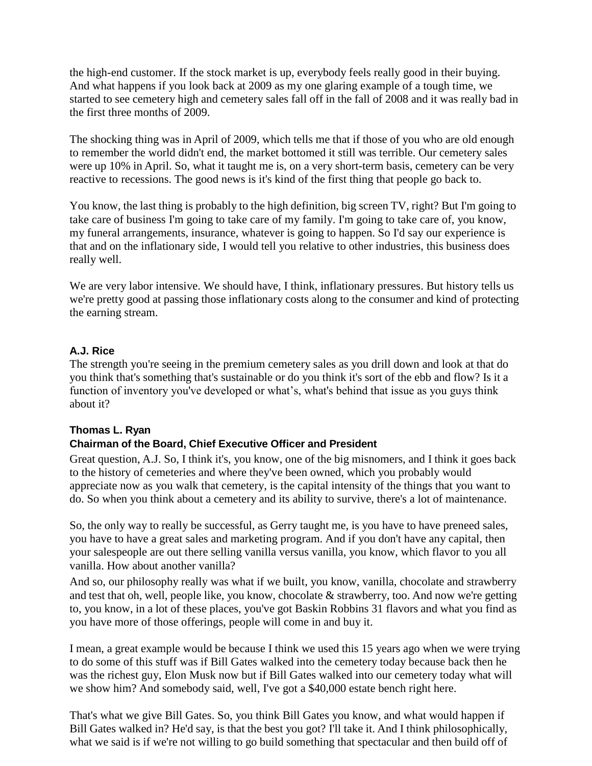the high-end customer. If the stock market is up, everybody feels really good in their buying. And what happens if you look back at 2009 as my one glaring example of a tough time, we started to see cemetery high and cemetery sales fall off in the fall of 2008 and it was really bad in the first three months of 2009.

The shocking thing was in April of 2009, which tells me that if those of you who are old enough to remember the world didn't end, the market bottomed it still was terrible. Our cemetery sales were up 10% in April. So, what it taught me is, on a very short-term basis, cemetery can be very reactive to recessions. The good news is it's kind of the first thing that people go back to.

You know, the last thing is probably to the high definition, big screen TV, right? But I'm going to take care of business I'm going to take care of my family. I'm going to take care of, you know, my funeral arrangements, insurance, whatever is going to happen. So I'd say our experience is that and on the inflationary side, I would tell you relative to other industries, this business does really well.

We are very labor intensive. We should have, I think, inflationary pressures. But history tells us we're pretty good at passing those inflationary costs along to the consumer and kind of protecting the earning stream.

#### **A.J. Rice**

The strength you're seeing in the premium cemetery sales as you drill down and look at that do you think that's something that's sustainable or do you think it's sort of the ebb and flow? Is it a function of inventory you've developed or what's, what's behind that issue as you guys think about it?

## **Thomas L. Ryan**

#### **Chairman of the Board, Chief Executive Officer and President**

Great question, A.J. So, I think it's, you know, one of the big misnomers, and I think it goes back to the history of cemeteries and where they've been owned, which you probably would appreciate now as you walk that cemetery, is the capital intensity of the things that you want to do. So when you think about a cemetery and its ability to survive, there's a lot of maintenance.

So, the only way to really be successful, as Gerry taught me, is you have to have preneed sales, you have to have a great sales and marketing program. And if you don't have any capital, then your salespeople are out there selling vanilla versus vanilla, you know, which flavor to you all vanilla. How about another vanilla?

And so, our philosophy really was what if we built, you know, vanilla, chocolate and strawberry and test that oh, well, people like, you know, chocolate & strawberry, too. And now we're getting to, you know, in a lot of these places, you've got Baskin Robbins 31 flavors and what you find as you have more of those offerings, people will come in and buy it.

I mean, a great example would be because I think we used this 15 years ago when we were trying to do some of this stuff was if Bill Gates walked into the cemetery today because back then he was the richest guy, Elon Musk now but if Bill Gates walked into our cemetery today what will we show him? And somebody said, well, I've got a \$40,000 estate bench right here.

That's what we give Bill Gates. So, you think Bill Gates you know, and what would happen if Bill Gates walked in? He'd say, is that the best you got? I'll take it. And I think philosophically, what we said is if we're not willing to go build something that spectacular and then build off of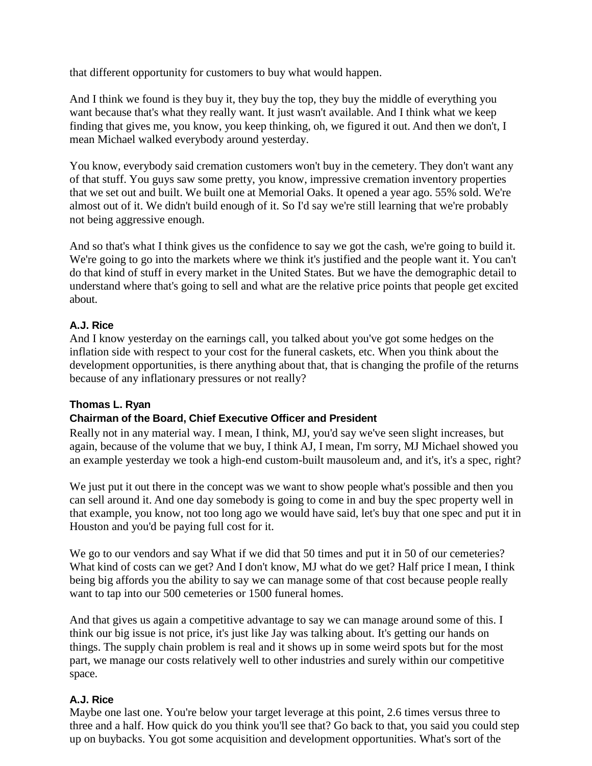that different opportunity for customers to buy what would happen.

And I think we found is they buy it, they buy the top, they buy the middle of everything you want because that's what they really want. It just wasn't available. And I think what we keep finding that gives me, you know, you keep thinking, oh, we figured it out. And then we don't, I mean Michael walked everybody around yesterday.

You know, everybody said cremation customers won't buy in the cemetery. They don't want any of that stuff. You guys saw some pretty, you know, impressive cremation inventory properties that we set out and built. We built one at Memorial Oaks. It opened a year ago. 55% sold. We're almost out of it. We didn't build enough of it. So I'd say we're still learning that we're probably not being aggressive enough.

And so that's what I think gives us the confidence to say we got the cash, we're going to build it. We're going to go into the markets where we think it's justified and the people want it. You can't do that kind of stuff in every market in the United States. But we have the demographic detail to understand where that's going to sell and what are the relative price points that people get excited about.

## **A.J. Rice**

And I know yesterday on the earnings call, you talked about you've got some hedges on the inflation side with respect to your cost for the funeral caskets, etc. When you think about the development opportunities, is there anything about that, that is changing the profile of the returns because of any inflationary pressures or not really?

## **Thomas L. Ryan**

## **Chairman of the Board, Chief Executive Officer and President**

Really not in any material way. I mean, I think, MJ, you'd say we've seen slight increases, but again, because of the volume that we buy, I think AJ, I mean, I'm sorry, MJ Michael showed you an example yesterday we took a high-end custom-built mausoleum and, and it's, it's a spec, right?

We just put it out there in the concept was we want to show people what's possible and then you can sell around it. And one day somebody is going to come in and buy the spec property well in that example, you know, not too long ago we would have said, let's buy that one spec and put it in Houston and you'd be paying full cost for it.

We go to our vendors and say What if we did that 50 times and put it in 50 of our cemeteries? What kind of costs can we get? And I don't know, MJ what do we get? Half price I mean, I think being big affords you the ability to say we can manage some of that cost because people really want to tap into our 500 cemeteries or 1500 funeral homes.

And that gives us again a competitive advantage to say we can manage around some of this. I think our big issue is not price, it's just like Jay was talking about. It's getting our hands on things. The supply chain problem is real and it shows up in some weird spots but for the most part, we manage our costs relatively well to other industries and surely within our competitive space.

## **A.J. Rice**

Maybe one last one. You're below your target leverage at this point, 2.6 times versus three to three and a half. How quick do you think you'll see that? Go back to that, you said you could step up on buybacks. You got some acquisition and development opportunities. What's sort of the